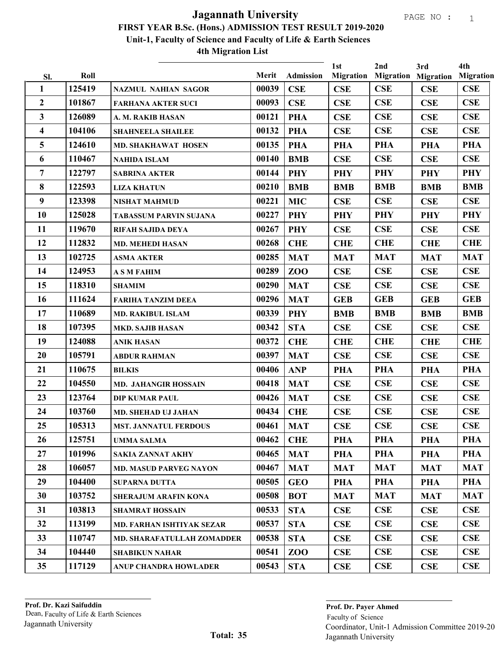|                     | Roll   |                               | Merit | <b>Admission</b> | 1st<br><b>Migration</b> | 2nd        | 3rd<br><b>Migration Migration</b> | 4th<br><b>Migration</b> |
|---------------------|--------|-------------------------------|-------|------------------|-------------------------|------------|-----------------------------------|-------------------------|
| SI.<br>$\mathbf{1}$ | 125419 | <b>NAZMUL NAHIAN SAGOR</b>    | 00039 | CSE              | <b>CSE</b>              | CSE        | <b>CSE</b>                        | CSE                     |
| $\mathbf{2}$        | 101867 | <b>FARHANA AKTER SUCI</b>     | 00093 | <b>CSE</b>       | <b>CSE</b>              | CSE        | <b>CSE</b>                        | CSE                     |
| 3                   | 126089 | A. M. RAKIB HASAN             | 00121 | <b>PHA</b>       | <b>CSE</b>              | CSE        | <b>CSE</b>                        | <b>CSE</b>              |
| 4                   | 104106 | <b>SHAHNEELA SHAILEE</b>      | 00132 | <b>PHA</b>       | <b>CSE</b>              | CSE        | <b>CSE</b>                        | <b>CSE</b>              |
| 5                   | 124610 | <b>MD. SHAKHAWAT HOSEN</b>    | 00135 | <b>PHA</b>       | <b>PHA</b>              | <b>PHA</b> | <b>PHA</b>                        | <b>PHA</b>              |
| 6                   | 110467 | <b>NAHIDA ISLAM</b>           | 00140 | <b>BMB</b>       | CSE                     | CSE        | <b>CSE</b>                        | CSE                     |
| 7                   | 122797 | <b>SABRINA AKTER</b>          | 00144 | <b>PHY</b>       | <b>PHY</b>              | <b>PHY</b> | <b>PHY</b>                        | <b>PHY</b>              |
| $\bf{8}$            | 122593 | <b>LIZA KHATUN</b>            | 00210 | <b>BMB</b>       | <b>BMB</b>              | <b>BMB</b> | <b>BMB</b>                        | <b>BMB</b>              |
| 9                   | 123398 | <b>NISHAT MAHMUD</b>          | 00221 | <b>MIC</b>       | <b>CSE</b>              | CSE        | <b>CSE</b>                        | CSE                     |
| 10                  | 125028 | <b>TABASSUM PARVIN SUJANA</b> | 00227 | <b>PHY</b>       | <b>PHY</b>              | <b>PHY</b> | <b>PHY</b>                        | <b>PHY</b>              |
| 11                  | 119670 | RIFAH SAJIDA DEYA             | 00267 | <b>PHY</b>       | <b>CSE</b>              | CSE        | <b>CSE</b>                        | CSE                     |
| 12                  | 112832 | <b>MD. MEHEDI HASAN</b>       | 00268 | <b>CHE</b>       | <b>CHE</b>              | <b>CHE</b> | <b>CHE</b>                        | <b>CHE</b>              |
| 13                  | 102725 | <b>ASMA AKTER</b>             | 00285 | <b>MAT</b>       | <b>MAT</b>              | <b>MAT</b> | <b>MAT</b>                        | <b>MAT</b>              |
| 14                  | 124953 | <b>A S M FAHIM</b>            | 00289 | ZOO              | CSE                     | CSE        | <b>CSE</b>                        | CSE                     |
| 15                  | 118310 | <b>SHAMIM</b>                 | 00290 | <b>MAT</b>       | CSE                     | CSE        | <b>CSE</b>                        | CSE                     |
| 16                  | 111624 | <b>FARIHA TANZIM DEEA</b>     | 00296 | <b>MAT</b>       | <b>GEB</b>              | <b>GEB</b> | <b>GEB</b>                        | <b>GEB</b>              |
| 17                  | 110689 | <b>MD. RAKIBUL ISLAM</b>      | 00339 | <b>PHY</b>       | <b>BMB</b>              | <b>BMB</b> | <b>BMB</b>                        | <b>BMB</b>              |
| 18                  | 107395 | <b>MKD. SAJIB HASAN</b>       | 00342 | <b>STA</b>       | CSE                     | CSE        | <b>CSE</b>                        | CSE                     |
| 19                  | 124088 | <b>ANIK HASAN</b>             | 00372 | <b>CHE</b>       | <b>CHE</b>              | <b>CHE</b> | <b>CHE</b>                        | <b>CHE</b>              |
| 20                  | 105791 | <b>ABDUR RAHMAN</b>           | 00397 | <b>MAT</b>       | CSE                     | CSE        | CSE                               | CSE                     |
| 21                  | 110675 | <b>BILKIS</b>                 | 00406 | <b>ANP</b>       | <b>PHA</b>              | <b>PHA</b> | <b>PHA</b>                        | <b>PHA</b>              |
| 22                  | 104550 | <b>MD. JAHANGIR HOSSAIN</b>   | 00418 | <b>MAT</b>       | <b>CSE</b>              | CSE        | <b>CSE</b>                        | <b>CSE</b>              |
| 23                  | 123764 | <b>DIP KUMAR PAUL</b>         | 00426 | <b>MAT</b>       | <b>CSE</b>              | CSE        | <b>CSE</b>                        | <b>CSE</b>              |
| 24                  | 103760 | <b>MD. SHEHAD UJ JAHAN</b>    | 00434 | <b>CHE</b>       | <b>CSE</b>              | CSE        | <b>CSE</b>                        | CSE                     |
| 25                  | 105313 | <b>MST. JANNATUL FERDOUS</b>  | 00461 | <b>MAT</b>       | CSE                     | CSE        | <b>CSE</b>                        | CSE                     |
| 26                  | 125751 | <b>UMMA SALMA</b>             | 00462 | <b>CHE</b>       | PHA                     | PHA        | PHA                               | <b>PHA</b>              |
| 27                  | 101996 | <b>SAKIA ZANNAT AKHY</b>      | 00465 | <b>MAT</b>       | <b>PHA</b>              | <b>PHA</b> | <b>PHA</b>                        | PHA                     |
| 28                  | 106057 | <b>MD. MASUD PARVEG NAYON</b> | 00467 | <b>MAT</b>       | <b>MAT</b>              | <b>MAT</b> | <b>MAT</b>                        | <b>MAT</b>              |
| 29                  | 104400 | <b>SUPARNA DUTTA</b>          | 00505 | <b>GEO</b>       | <b>PHA</b>              | <b>PHA</b> | <b>PHA</b>                        | PHA                     |
| 30                  | 103752 | <b>SHERAJUM ARAFIN KONA</b>   | 00508 | <b>BOT</b>       | <b>MAT</b>              | <b>MAT</b> | <b>MAT</b>                        | <b>MAT</b>              |
| 31                  | 103813 | <b>SHAMRAT HOSSAIN</b>        | 00533 | <b>STA</b>       | <b>CSE</b>              | <b>CSE</b> | <b>CSE</b>                        | <b>CSE</b>              |
| 32                  | 113199 | MD. FARHAN ISHTIYAK SEZAR     | 00537 | <b>STA</b>       | CSE                     | <b>CSE</b> | CSE                               | <b>CSE</b>              |
| 33 <sup>3</sup>     | 110747 | MD. SHARAFATULLAH ZOMADDER    | 00538 | <b>STA</b>       | CSE                     | <b>CSE</b> | CSE                               | <b>CSE</b>              |
| 34                  | 104440 | <b>SHABIKUN NAHAR</b>         | 00541 | ZOO              | CSE                     | <b>CSE</b> | <b>CSE</b>                        | <b>CSE</b>              |
| 35 <sub>1</sub>     | 117129 | ANUP CHANDRA HOWLADER         | 00543 | <b>STA</b>       | CSE                     | <b>CSE</b> | <b>CSE</b>                        | <b>CSE</b>              |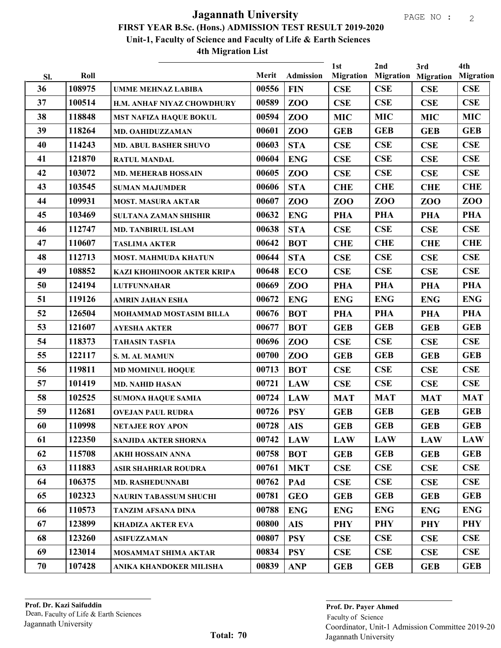|     |        |                                   |       |                 | 1st              | 2nd                        | 3rd        | 4th              |
|-----|--------|-----------------------------------|-------|-----------------|------------------|----------------------------|------------|------------------|
| Sl. | Roll   |                                   | Merit | Admission       | <b>Migration</b> | <b>Migration Migration</b> |            | <b>Migration</b> |
| 36  | 108975 | <b>UMME MEHNAZ LABIBA</b>         | 00556 | <b>FIN</b>      | CSE              | <b>CSE</b>                 | <b>CSE</b> | <b>CSE</b>       |
| 37  | 100514 | H.M. ANHAF NIYAZ CHOWDHURY        | 00589 | ZO <sub>O</sub> | CSE              | <b>CSE</b>                 | CSE        | <b>CSE</b>       |
| 38  | 118848 | <b>MST NAFIZA HAQUE BOKUL</b>     | 00594 | ZO <sub>O</sub> | <b>MIC</b>       | <b>MIC</b>                 | <b>MIC</b> | <b>MIC</b>       |
| 39  | 118264 | MD. OAHIDUZZAMAN                  | 00601 | ZO <sub>O</sub> | <b>GEB</b>       | <b>GEB</b>                 | <b>GEB</b> | <b>GEB</b>       |
| 40  | 114243 | <b>MD. ABUL BASHER SHUVO</b>      | 00603 | <b>STA</b>      | CSE              | CSE                        | CSE        | <b>CSE</b>       |
| 41  | 121870 | <b>RATUL MANDAL</b>               | 00604 | <b>ENG</b>      | CSE              | CSE                        | <b>CSE</b> | <b>CSE</b>       |
| 42  | 103072 | <b>MD. MEHERAB HOSSAIN</b>        | 00605 | ZO <sub>O</sub> | CSE              | CSE                        | CSE        | <b>CSE</b>       |
| 43  | 103545 | <b>SUMAN MAJUMDER</b>             | 00606 | <b>STA</b>      | <b>CHE</b>       | <b>CHE</b>                 | <b>CHE</b> | <b>CHE</b>       |
| 44  | 109931 | <b>MOST. MASURA AKTAR</b>         | 00607 | ZOO             | ZOO              | ZOO                        | ZOO        | ZOO              |
| 45  | 103469 | <b>SULTANA ZAMAN SHISHIR</b>      | 00632 | <b>ENG</b>      | <b>PHA</b>       | <b>PHA</b>                 | <b>PHA</b> | <b>PHA</b>       |
| 46  | 112747 | <b>MD. TANBIRUL ISLAM</b>         | 00638 | <b>STA</b>      | CSE              | <b>CSE</b>                 | CSE        | <b>CSE</b>       |
| 47  | 110607 | <b>TASLIMA AKTER</b>              | 00642 | <b>BOT</b>      | <b>CHE</b>       | <b>CHE</b>                 | <b>CHE</b> | <b>CHE</b>       |
| 48  | 112713 | <b>MOST. MAHMUDA KHATUN</b>       | 00644 | <b>STA</b>      | CSE              | CSE                        | CSE        | <b>CSE</b>       |
| 49  | 108852 | <b>KAZI KHOHINOOR AKTER KRIPA</b> | 00648 | <b>ECO</b>      | CSE              | CSE                        | CSE        | <b>CSE</b>       |
| 50  | 124194 | <b>LUTFUNNAHAR</b>                | 00669 | ZO <sub>O</sub> | <b>PHA</b>       | <b>PHA</b>                 | <b>PHA</b> | <b>PHA</b>       |
| 51  | 119126 | <b>AMRIN JAHAN ESHA</b>           | 00672 | <b>ENG</b>      | <b>ENG</b>       | <b>ENG</b>                 | <b>ENG</b> | <b>ENG</b>       |
| 52  | 126504 | MOHAMMAD MOSTASIM BILLA           | 00676 | <b>BOT</b>      | <b>PHA</b>       | <b>PHA</b>                 | <b>PHA</b> | <b>PHA</b>       |
| 53  | 121607 | <b>AYESHA AKTER</b>               | 00677 | <b>BOT</b>      | <b>GEB</b>       | <b>GEB</b>                 | <b>GEB</b> | <b>GEB</b>       |
| 54  | 118373 | <b>TAHASIN TASFIA</b>             | 00696 | ZOO             | CSE              | CSE                        | CSE        | <b>CSE</b>       |
| 55  | 122117 | S. M. AL MAMUN                    | 00700 | ZOO             | <b>GEB</b>       | <b>GEB</b>                 | <b>GEB</b> | <b>GEB</b>       |
| 56  | 119811 | <b>MD MOMINUL HOQUE</b>           | 00713 | <b>BOT</b>      | CSE              | CSE                        | CSE        | <b>CSE</b>       |
| 57  | 101419 | <b>MD. NAHID HASAN</b>            | 00721 | <b>LAW</b>      | CSE              | CSE                        | CSE        | <b>CSE</b>       |
| 58  | 102525 | <b>SUMONA HAQUE SAMIA</b>         | 00724 | <b>LAW</b>      | <b>MAT</b>       | <b>MAT</b>                 | <b>MAT</b> | <b>MAT</b>       |
| 59  | 112681 | <b>OVEJAN PAUL RUDRA</b>          | 00726 | <b>PSY</b>      | <b>GEB</b>       | <b>GEB</b>                 | <b>GEB</b> | <b>GEB</b>       |
| 60  | 110998 | <b>NETAJEE ROY APON</b>           | 00728 | <b>AIS</b>      | <b>GEB</b>       | <b>GEB</b>                 | <b>GEB</b> | <b>GEB</b>       |
| 61  | 122350 | <b>SANJIDA AKTER SHORNA</b>       | 00742 | <b>LAW</b>      | <b>LAW</b>       | <b>LAW</b>                 | <b>LAW</b> | <b>LAW</b>       |
| 62  | 115708 | AKHI HOSSAIN ANNA                 | 00758 | <b>BOT</b>      | <b>GEB</b>       | <b>GEB</b>                 | <b>GEB</b> | <b>GEB</b>       |
| 63  | 111883 | <b>ASIR SHAHRIAR ROUDRA</b>       | 00761 | <b>MKT</b>      | CSE              | CSE                        | CSE        | <b>CSE</b>       |
| 64  | 106375 | <b>MD. RASHEDUNNABI</b>           | 00762 | PAd             | <b>CSE</b>       | CSE                        | CSE        | <b>CSE</b>       |
| 65  | 102323 | <b>NAURIN TABASSUM SHUCHI</b>     | 00781 | <b>GEO</b>      | <b>GEB</b>       | <b>GEB</b>                 | <b>GEB</b> | <b>GEB</b>       |
| 66  | 110573 | <b>TANZIM AFSANA DINA</b>         | 00788 | <b>ENG</b>      | <b>ENG</b>       | <b>ENG</b>                 | <b>ENG</b> | <b>ENG</b>       |
| 67  | 123899 | <b>KHADIZA AKTER EVA</b>          | 00800 | <b>AIS</b>      | <b>PHY</b>       | <b>PHY</b>                 | <b>PHY</b> | <b>PHY</b>       |
| 68  | 123260 | <b>ASIFUZZAMAN</b>                | 00807 | <b>PSY</b>      | <b>CSE</b>       | CSE                        | <b>CSE</b> | <b>CSE</b>       |
| 69  | 123014 | <b>MOSAMMAT SHIMA AKTAR</b>       | 00834 | <b>PSY</b>      | CSE              | CSE                        | <b>CSE</b> | <b>CSE</b>       |
| 70  | 107428 | ANIKA KHANDOKER MILISHA           | 00839 | <b>ANP</b>      | <b>GEB</b>       | <b>GEB</b>                 | <b>GEB</b> | <b>GEB</b>       |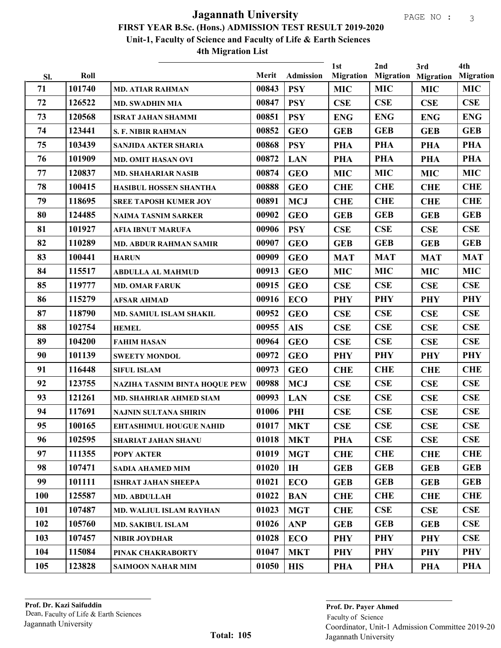|           | Roll   |                                | Merit | <b>Admission</b> | 1st<br><b>Migration</b> | 2nd        | 3rd<br><b>Migration Migration</b> | 4th<br><b>Migration</b> |
|-----------|--------|--------------------------------|-------|------------------|-------------------------|------------|-----------------------------------|-------------------------|
| SI.<br>71 | 101740 |                                | 00843 | <b>PSY</b>       | <b>MIC</b>              | <b>MIC</b> | <b>MIC</b>                        | <b>MIC</b>              |
| 72        | 126522 | <b>MD. ATIAR RAHMAN</b>        | 00847 | <b>PSY</b>       | CSE                     | CSE        | CSE                               | <b>CSE</b>              |
| 73        | 120568 | <b>MD. SWADHIN MIA</b>         | 00851 | <b>PSY</b>       | <b>ENG</b>              | <b>ENG</b> | <b>ENG</b>                        | <b>ENG</b>              |
| 74        |        | <b>ISRAT JAHAN SHAMMI</b>      | 00852 |                  |                         |            |                                   |                         |
|           | 123441 | <b>S. F. NIBIR RAHMAN</b>      |       | <b>GEO</b>       | <b>GEB</b>              | <b>GEB</b> | <b>GEB</b>                        | <b>GEB</b>              |
| 75        | 103439 | SANJIDA AKTER SHARIA           | 00868 | <b>PSY</b>       | <b>PHA</b>              | <b>PHA</b> | <b>PHA</b>                        | <b>PHA</b>              |
| 76        | 101909 | <b>MD. OMIT HASAN OVI</b>      | 00872 | <b>LAN</b>       | <b>PHA</b>              | <b>PHA</b> | <b>PHA</b>                        | <b>PHA</b>              |
| 77        | 120837 | <b>MD. SHAHARIAR NASIB</b>     | 00874 | <b>GEO</b>       | <b>MIC</b>              | <b>MIC</b> | <b>MIC</b>                        | <b>MIC</b>              |
| 78        | 100415 | HASIBUL HOSSEN SHANTHA         | 00888 | <b>GEO</b>       | <b>CHE</b>              | <b>CHE</b> | <b>CHE</b>                        | <b>CHE</b>              |
| 79        | 118695 | <b>SREE TAPOSH KUMER JOY</b>   | 00891 | <b>MCJ</b>       | <b>CHE</b>              | <b>CHE</b> | <b>CHE</b>                        | <b>CHE</b>              |
| 80        | 124485 | <b>NAIMA TASNIM SARKER</b>     | 00902 | <b>GEO</b>       | <b>GEB</b>              | <b>GEB</b> | <b>GEB</b>                        | <b>GEB</b>              |
| 81        | 101927 | <b>AFIA IBNUT MARUFA</b>       | 00906 | <b>PSY</b>       | <b>CSE</b>              | CSE        | CSE                               | CSE                     |
| 82        | 110289 | <b>MD. ABDUR RAHMAN SAMIR</b>  | 00907 | <b>GEO</b>       | <b>GEB</b>              | <b>GEB</b> | <b>GEB</b>                        | <b>GEB</b>              |
| 83        | 100441 | <b>HARUN</b>                   | 00909 | <b>GEO</b>       | <b>MAT</b>              | <b>MAT</b> | <b>MAT</b>                        | <b>MAT</b>              |
| 84        | 115517 | <b>ABDULLA AL MAHMUD</b>       | 00913 | <b>GEO</b>       | <b>MIC</b>              | <b>MIC</b> | <b>MIC</b>                        | <b>MIC</b>              |
| 85        | 119777 | <b>MD. OMAR FARUK</b>          | 00915 | <b>GEO</b>       | <b>CSE</b>              | CSE        | CSE                               | CSE                     |
| 86        | 115279 | <b>AFSAR AHMAD</b>             | 00916 | <b>ECO</b>       | <b>PHY</b>              | <b>PHY</b> | <b>PHY</b>                        | <b>PHY</b>              |
| 87        | 118790 | MD. SAMIUL ISLAM SHAKIL        | 00952 | <b>GEO</b>       | <b>CSE</b>              | CSE        | <b>CSE</b>                        | CSE                     |
| 88        | 102754 | <b>HEMEL</b>                   | 00955 | <b>AIS</b>       | <b>CSE</b>              | CSE        | <b>CSE</b>                        | CSE                     |
| 89        | 104200 | <b>FAHIM HASAN</b>             | 00964 | <b>GEO</b>       | CSE                     | CSE        | CSE                               | <b>CSE</b>              |
| 90        | 101139 | <b>SWEETY MONDOL</b>           | 00972 | <b>GEO</b>       | <b>PHY</b>              | <b>PHY</b> | <b>PHY</b>                        | <b>PHY</b>              |
| 91        | 116448 | <b>SIFUL ISLAM</b>             | 00973 | <b>GEO</b>       | <b>CHE</b>              | <b>CHE</b> | <b>CHE</b>                        | <b>CHE</b>              |
| 92        | 123755 | NAZIHA TASNIM BINTA HOQUE PEW  | 00988 | <b>MCJ</b>       | <b>CSE</b>              | CSE        | CSE                               | CSE                     |
| 93        | 121261 | <b>MD. SHAHRIAR AHMED SIAM</b> | 00993 | <b>LAN</b>       | CSE                     | CSE        | CSE                               | <b>CSE</b>              |
| 94        | 117691 | NAJNIN SULTANA SHIRIN          | 01006 | PHI              | <b>CSE</b>              | CSE        | <b>CSE</b>                        | CSE                     |
| 95        | 100165 | <b>EHTASHIMUL HOUGUE NAHID</b> | 01017 | <b>MKT</b>       | <b>CSE</b>              | CSE        | CSE                               | CSE                     |
| 96        | 102595 | <b>SHARIAT JAHAN SHANU</b>     | 01018 | <b>MKT</b>       | <b>PHA</b>              | CSE        | <b>CSE</b>                        | <b>CSE</b>              |
| 97        | 111355 | <b>POPY AKTER</b>              | 01019 | <b>MGT</b>       | <b>CHE</b>              | <b>CHE</b> | <b>CHE</b>                        | <b>CHE</b>              |
| 98        | 107471 | SADIA AHAMED MIM               | 01020 | IH               | <b>GEB</b>              | <b>GEB</b> | <b>GEB</b>                        | <b>GEB</b>              |
| 99        | 101111 | <b>ISHRAT JAHAN SHEEPA</b>     | 01021 | ECO              | <b>GEB</b>              | <b>GEB</b> | <b>GEB</b>                        | <b>GEB</b>              |
| 100       | 125587 | MD. ABDULLAH                   | 01022 | <b>BAN</b>       | <b>CHE</b>              | <b>CHE</b> | <b>CHE</b>                        | <b>CHE</b>              |
| 101       | 107487 | <b>MD. WALIUL ISLAM RAYHAN</b> | 01023 | <b>MGT</b>       | <b>CHE</b>              | CSE        | <b>CSE</b>                        | <b>CSE</b>              |
| 102       | 105760 | <b>MD. SAKIBUL ISLAM</b>       | 01026 | <b>ANP</b>       | <b>GEB</b>              | <b>GEB</b> | <b>GEB</b>                        | <b>CSE</b>              |
| 103       | 107457 | NIBIR JOYDHAR                  | 01028 | <b>ECO</b>       | <b>PHY</b>              | <b>PHY</b> | <b>PHY</b>                        | <b>CSE</b>              |
| 104       | 115084 | PINAK CHAKRABORTY              | 01047 | <b>MKT</b>       | <b>PHY</b>              | <b>PHY</b> | <b>PHY</b>                        | PHY                     |
| 105       | 123828 | <b>SAIMOON NAHAR MIM</b>       | 01050 | <b>HIS</b>       | <b>PHA</b>              | PHA        | <b>PHA</b>                        | PHA                     |
|           |        |                                |       |                  |                         |            |                                   |                         |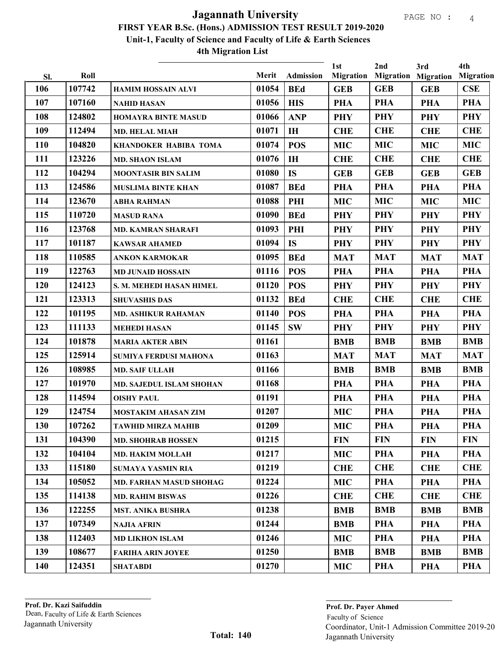| SI. | Roll   |                                | Merit | Admission      | 1st<br><b>Migration</b> | 2nd        | 3rd<br><b>Migration Migration</b> | 4th<br><b>Migration</b> |
|-----|--------|--------------------------------|-------|----------------|-------------------------|------------|-----------------------------------|-------------------------|
| 106 | 107742 | <b>HAMIM HOSSAIN ALVI</b>      | 01054 | <b>BEd</b>     | <b>GEB</b>              | <b>GEB</b> | <b>GEB</b>                        | CSE                     |
| 107 | 107160 | <b>NAHID HASAN</b>             | 01056 | <b>HIS</b>     | <b>PHA</b>              | <b>PHA</b> | <b>PHA</b>                        | <b>PHA</b>              |
| 108 | 124802 | HOMAYRA BINTE MASUD            | 01066 | <b>ANP</b>     | <b>PHY</b>              | <b>PHY</b> | <b>PHY</b>                        | <b>PHY</b>              |
| 109 | 112494 | <b>MD. HELAL MIAH</b>          | 01071 | I <sub>H</sub> | <b>CHE</b>              | <b>CHE</b> | <b>CHE</b>                        | <b>CHE</b>              |
| 110 | 104820 | KHANDOKER HABIBA TOMA          | 01074 | <b>POS</b>     | <b>MIC</b>              | <b>MIC</b> | <b>MIC</b>                        | <b>MIC</b>              |
| 111 | 123226 | <b>MD. SHAON ISLAM</b>         | 01076 | IH             | <b>CHE</b>              | <b>CHE</b> | <b>CHE</b>                        | <b>CHE</b>              |
| 112 | 104294 | <b>MOONTASIR BIN SALIM</b>     | 01080 | <b>IS</b>      | <b>GEB</b>              | <b>GEB</b> | <b>GEB</b>                        | <b>GEB</b>              |
| 113 | 124586 | <b>MUSLIMA BINTE KHAN</b>      | 01087 | <b>BEd</b>     | <b>PHA</b>              | <b>PHA</b> | <b>PHA</b>                        | <b>PHA</b>              |
| 114 | 123670 | <b>ABHA RAHMAN</b>             | 01088 | PHI            | <b>MIC</b>              | <b>MIC</b> | <b>MIC</b>                        | <b>MIC</b>              |
| 115 | 110720 | <b>MASUD RANA</b>              | 01090 | <b>BEd</b>     | <b>PHY</b>              | <b>PHY</b> | <b>PHY</b>                        | <b>PHY</b>              |
| 116 | 123768 | <b>MD. KAMRAN SHARAFI</b>      | 01093 | PHI            | <b>PHY</b>              | <b>PHY</b> | <b>PHY</b>                        | <b>PHY</b>              |
| 117 | 101187 | <b>KAWSAR AHAMED</b>           | 01094 | <b>IS</b>      | <b>PHY</b>              | <b>PHY</b> | <b>PHY</b>                        | <b>PHY</b>              |
| 118 | 110585 | <b>ANKON KARMOKAR</b>          | 01095 | <b>BEd</b>     | <b>MAT</b>              | <b>MAT</b> | <b>MAT</b>                        | <b>MAT</b>              |
| 119 | 122763 | <b>MD JUNAID HOSSAIN</b>       | 01116 | <b>POS</b>     | <b>PHA</b>              | <b>PHA</b> | <b>PHA</b>                        | <b>PHA</b>              |
| 120 | 124123 | S. M. MEHEDI HASAN HIMEL       | 01120 | <b>POS</b>     | <b>PHY</b>              | <b>PHY</b> | <b>PHY</b>                        | <b>PHY</b>              |
| 121 | 123313 | <b>SHUVASHIS DAS</b>           | 01132 | <b>BEd</b>     | <b>CHE</b>              | <b>CHE</b> | <b>CHE</b>                        | <b>CHE</b>              |
| 122 | 101195 | <b>MD. ASHIKUR RAHAMAN</b>     | 01140 | <b>POS</b>     | <b>PHA</b>              | PHA        | <b>PHA</b>                        | PHA                     |
| 123 | 111133 | <b>MEHEDI HASAN</b>            | 01145 | <b>SW</b>      | <b>PHY</b>              | <b>PHY</b> | <b>PHY</b>                        | <b>PHY</b>              |
| 124 | 101878 | <b>MARIA AKTER ABIN</b>        | 01161 |                | <b>BMB</b>              | <b>BMB</b> | <b>BMB</b>                        | <b>BMB</b>              |
| 125 | 125914 | SUMIYA FERDUSI MAHONA          | 01163 |                | <b>MAT</b>              | <b>MAT</b> | <b>MAT</b>                        | <b>MAT</b>              |
| 126 | 108985 | <b>MD. SAIF ULLAH</b>          | 01166 |                | <b>BMB</b>              | <b>BMB</b> | <b>BMB</b>                        | <b>BMB</b>              |
| 127 | 101970 | MD. SAJEDUL ISLAM SHOHAN       | 01168 |                | <b>PHA</b>              | <b>PHA</b> | <b>PHA</b>                        | <b>PHA</b>              |
| 128 | 114594 | <b>OISHY PAUL</b>              | 01191 |                | <b>PHA</b>              | <b>PHA</b> | <b>PHA</b>                        | <b>PHA</b>              |
| 129 | 124754 | <b>MOSTAKIM AHASAN ZIM</b>     | 01207 |                | <b>MIC</b>              | <b>PHA</b> | <b>PHA</b>                        | <b>PHA</b>              |
| 130 | 107262 | <b>TAWHID MIRZA MAHIB</b>      | 01209 |                | <b>MIC</b>              | <b>PHA</b> | <b>PHA</b>                        | <b>PHA</b>              |
| 131 | 104390 | <b>MD. SHOHRAB HOSSEN</b>      | 01215 |                | <b>FIN</b>              | <b>FIN</b> | <b>FIN</b>                        | <b>FIN</b>              |
| 132 | 104104 | <b>MD. HAKIM MOLLAH</b>        | 01217 |                | <b>MIC</b>              | <b>PHA</b> | <b>PHA</b>                        | PHA                     |
| 133 | 115180 | <b>SUMAYA YASMIN RIA</b>       | 01219 |                | <b>CHE</b>              | <b>CHE</b> | <b>CHE</b>                        | <b>CHE</b>              |
| 134 | 105052 | <b>MD. FARHAN MASUD SHOHAG</b> | 01224 |                | <b>MIC</b>              | <b>PHA</b> | <b>PHA</b>                        | PHA                     |
| 135 | 114138 | <b>MD. RAHIM BISWAS</b>        | 01226 |                | <b>CHE</b>              | <b>CHE</b> | <b>CHE</b>                        | <b>CHE</b>              |
| 136 | 122255 | <b>MST. ANIKA BUSHRA</b>       | 01238 |                | <b>BMB</b>              | <b>BMB</b> | <b>BMB</b>                        | <b>BMB</b>              |
| 137 | 107349 | <b>NAJIA AFRIN</b>             | 01244 |                | <b>BMB</b>              | <b>PHA</b> | <b>PHA</b>                        | PHA                     |
| 138 | 112403 | <b>MD LIKHON ISLAM</b>         | 01246 |                | <b>MIC</b>              | <b>PHA</b> | <b>PHA</b>                        | PHA                     |
| 139 | 108677 | <b>FARIHA ARIN JOYEE</b>       | 01250 |                | <b>BMB</b>              | <b>BMB</b> | <b>BMB</b>                        | <b>BMB</b>              |
| 140 | 124351 | <b>SHATABDI</b>                | 01270 |                | <b>MIC</b>              | <b>PHA</b> | <b>PHA</b>                        | PHA                     |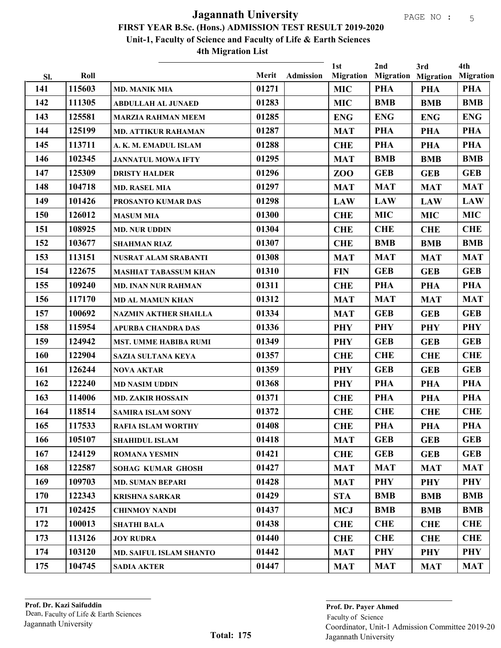|     |        |                                |       |                  | 1st              | 2nd        | 3rd                        | 4th              |
|-----|--------|--------------------------------|-------|------------------|------------------|------------|----------------------------|------------------|
| Sl. | Roll   |                                | Merit | <b>Admission</b> | <b>Migration</b> |            | <b>Migration Migration</b> | <b>Migration</b> |
| 141 | 115603 | <b>MD. MANIK MIA</b>           | 01271 |                  | <b>MIC</b>       | <b>PHA</b> | PHA                        | <b>PHA</b>       |
| 142 | 111305 | <b>ABDULLAH AL JUNAED</b>      | 01283 |                  | <b>MIC</b>       | <b>BMB</b> | <b>BMB</b>                 | <b>BMB</b>       |
| 143 | 125581 | <b>MARZIA RAHMAN MEEM</b>      | 01285 |                  | <b>ENG</b>       | <b>ENG</b> | <b>ENG</b>                 | <b>ENG</b>       |
| 144 | 125199 | <b>MD. ATTIKUR RAHAMAN</b>     | 01287 |                  | <b>MAT</b>       | <b>PHA</b> | <b>PHA</b>                 | PHA              |
| 145 | 113711 | A. K. M. EMADUL ISLAM          | 01288 |                  | <b>CHE</b>       | <b>PHA</b> | <b>PHA</b>                 | <b>PHA</b>       |
| 146 | 102345 | <b>JANNATUL MOWA IFTY</b>      | 01295 |                  | <b>MAT</b>       | <b>BMB</b> | <b>BMB</b>                 | <b>BMB</b>       |
| 147 | 125309 | <b>DRISTY HALDER</b>           | 01296 |                  | ZOO              | <b>GEB</b> | <b>GEB</b>                 | <b>GEB</b>       |
| 148 | 104718 | <b>MD. RASEL MIA</b>           | 01297 |                  | <b>MAT</b>       | <b>MAT</b> | <b>MAT</b>                 | <b>MAT</b>       |
| 149 | 101426 | PROSANTO KUMAR DAS             | 01298 |                  | <b>LAW</b>       | <b>LAW</b> | <b>LAW</b>                 | <b>LAW</b>       |
| 150 | 126012 | <b>MASUM MIA</b>               | 01300 |                  | <b>CHE</b>       | <b>MIC</b> | <b>MIC</b>                 | <b>MIC</b>       |
| 151 | 108925 | <b>MD. NUR UDDIN</b>           | 01304 |                  | <b>CHE</b>       | <b>CHE</b> | <b>CHE</b>                 | <b>CHE</b>       |
| 152 | 103677 | <b>SHAHMAN RIAZ</b>            | 01307 |                  | <b>CHE</b>       | <b>BMB</b> | <b>BMB</b>                 | <b>BMB</b>       |
| 153 | 113151 | <b>NUSRAT ALAM SRABANTI</b>    | 01308 |                  | <b>MAT</b>       | <b>MAT</b> | <b>MAT</b>                 | <b>MAT</b>       |
| 154 | 122675 | <b>MASHIAT TABASSUM KHAN</b>   | 01310 |                  | <b>FIN</b>       | <b>GEB</b> | <b>GEB</b>                 | <b>GEB</b>       |
| 155 | 109240 | <b>MD. INAN NUR RAHMAN</b>     | 01311 |                  | <b>CHE</b>       | PHA        | <b>PHA</b>                 | <b>PHA</b>       |
| 156 | 117170 | <b>MD AL MAMUN KHAN</b>        | 01312 |                  | <b>MAT</b>       | <b>MAT</b> | <b>MAT</b>                 | <b>MAT</b>       |
| 157 | 100692 | <b>NAZMIN AKTHER SHAILLA</b>   | 01334 |                  | <b>MAT</b>       | <b>GEB</b> | <b>GEB</b>                 | <b>GEB</b>       |
| 158 | 115954 | <b>APURBA CHANDRA DAS</b>      | 01336 |                  | <b>PHY</b>       | <b>PHY</b> | <b>PHY</b>                 | <b>PHY</b>       |
| 159 | 124942 | <b>MST. UMME HABIBA RUMI</b>   | 01349 |                  | <b>PHY</b>       | <b>GEB</b> | <b>GEB</b>                 | <b>GEB</b>       |
| 160 | 122904 | SAZIA SULTANA KEYA             | 01357 |                  | <b>CHE</b>       | <b>CHE</b> | <b>CHE</b>                 | <b>CHE</b>       |
| 161 | 126244 | <b>NOVA AKTAR</b>              | 01359 |                  | <b>PHY</b>       | <b>GEB</b> | <b>GEB</b>                 | <b>GEB</b>       |
| 162 | 122240 | <b>MD NASIM UDDIN</b>          | 01368 |                  | <b>PHY</b>       | PHA        | <b>PHA</b>                 | PHA              |
| 163 | 114006 | <b>MD. ZAKIR HOSSAIN</b>       | 01371 |                  | <b>CHE</b>       | <b>PHA</b> | <b>PHA</b>                 | <b>PHA</b>       |
| 164 | 118514 | <b>SAMIRA ISLAM SONY</b>       | 01372 |                  | <b>CHE</b>       | <b>CHE</b> | <b>CHE</b>                 | <b>CHE</b>       |
| 165 | 117533 | <b>RAFIA ISLAM WORTHY</b>      | 01408 |                  | <b>CHE</b>       | <b>PHA</b> | <b>PHA</b>                 | <b>PHA</b>       |
| 166 | 105107 | <b>SHAHIDUL ISLAM</b>          | 01418 |                  | <b>MAT</b>       | <b>GEB</b> | <b>GEB</b>                 | <b>GEB</b>       |
| 167 | 124129 | <b>ROMANA YESMIN</b>           | 01421 |                  | <b>CHE</b>       | <b>GEB</b> | <b>GEB</b>                 | <b>GEB</b>       |
| 168 | 122587 | <b>SOHAG KUMAR GHOSH</b>       | 01427 |                  | <b>MAT</b>       | <b>MAT</b> | <b>MAT</b>                 | <b>MAT</b>       |
| 169 | 109703 | <b>MD. SUMAN BEPARI</b>        | 01428 |                  | <b>MAT</b>       | PHY        | <b>PHY</b>                 | <b>PHY</b>       |
| 170 | 122343 | <b>KRISHNA SARKAR</b>          | 01429 |                  | <b>STA</b>       | <b>BMB</b> | <b>BMB</b>                 | <b>BMB</b>       |
| 171 | 102425 | <b>CHINMOY NANDI</b>           | 01437 |                  | <b>MCJ</b>       | <b>BMB</b> | <b>BMB</b>                 | <b>BMB</b>       |
| 172 | 100013 | <b>SHATHI BALA</b>             | 01438 |                  | <b>CHE</b>       | <b>CHE</b> | <b>CHE</b>                 | <b>CHE</b>       |
| 173 | 113126 | <b>JOY RUDRA</b>               | 01440 |                  | <b>CHE</b>       | <b>CHE</b> | <b>CHE</b>                 | <b>CHE</b>       |
| 174 | 103120 | <b>MD. SAIFUL ISLAM SHANTO</b> | 01442 |                  | <b>MAT</b>       | PHY        | <b>PHY</b>                 | <b>PHY</b>       |
| 175 | 104745 | <b>SADIA AKTER</b>             | 01447 |                  | <b>MAT</b>       | <b>MAT</b> | <b>MAT</b>                 | <b>MAT</b>       |
|     |        |                                |       |                  |                  |            |                            |                  |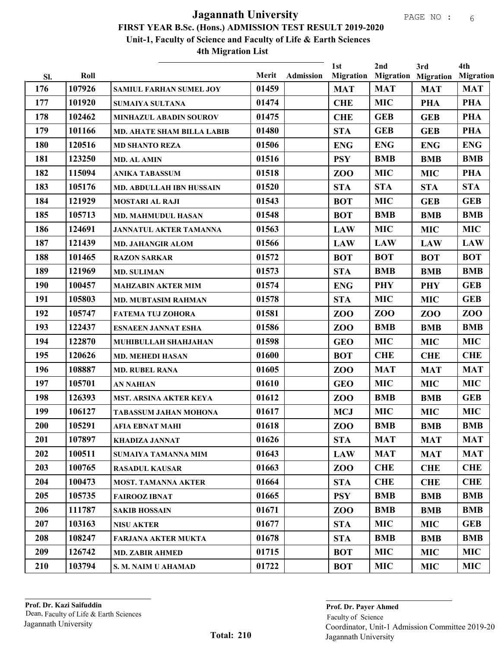|            | Roll   |                                   | Merit | <b>Admission</b> | 1st<br><b>Migration</b> | 2nd             | 3rd<br><b>Migration Migration</b> | 4th<br><b>Migration</b> |
|------------|--------|-----------------------------------|-------|------------------|-------------------------|-----------------|-----------------------------------|-------------------------|
| Sl.<br>176 | 107926 | <b>SAMIUL FARHAN SUMEL JOY</b>    | 01459 |                  | <b>MAT</b>              | <b>MAT</b>      | <b>MAT</b>                        | <b>MAT</b>              |
| 177        | 101920 | <b>SUMAIYA SULTANA</b>            | 01474 |                  | <b>CHE</b>              | <b>MIC</b>      | <b>PHA</b>                        | <b>PHA</b>              |
| 178        | 102462 | MINHAZUL ABADIN SOUROV            | 01475 |                  | <b>CHE</b>              | <b>GEB</b>      | <b>GEB</b>                        | <b>PHA</b>              |
| 179        | 101166 | <b>MD. AHATE SHAM BILLA LABIB</b> | 01480 |                  | <b>STA</b>              | <b>GEB</b>      | <b>GEB</b>                        | <b>PHA</b>              |
| 180        | 120516 | <b>MD SHANTO REZA</b>             | 01506 |                  | <b>ENG</b>              | <b>ENG</b>      | <b>ENG</b>                        | <b>ENG</b>              |
| 181        | 123250 | <b>MD. AL AMIN</b>                | 01516 |                  | <b>PSY</b>              | <b>BMB</b>      | <b>BMB</b>                        | <b>BMB</b>              |
| 182        | 115094 | <b>ANIKA TABASSUM</b>             | 01518 |                  | ZOO                     | <b>MIC</b>      | <b>MIC</b>                        | <b>PHA</b>              |
| 183        | 105176 | MD. ABDULLAH IBN HUSSAIN          | 01520 |                  | <b>STA</b>              | <b>STA</b>      | <b>STA</b>                        | <b>STA</b>              |
| 184        | 121929 | <b>MOSTARI AL RAJI</b>            | 01543 |                  | <b>BOT</b>              | <b>MIC</b>      | <b>GEB</b>                        | <b>GEB</b>              |
| 185        | 105713 | <b>MD. MAHMUDUL HASAN</b>         | 01548 |                  | <b>BOT</b>              | <b>BMB</b>      | <b>BMB</b>                        | <b>BMB</b>              |
| 186        | 124691 | <b>JANNATUL AKTER TAMANNA</b>     | 01563 |                  | <b>LAW</b>              | <b>MIC</b>      | <b>MIC</b>                        | <b>MIC</b>              |
| 187        | 121439 | <b>MD. JAHANGIR ALOM</b>          | 01566 |                  | <b>LAW</b>              | <b>LAW</b>      | <b>LAW</b>                        | <b>LAW</b>              |
| 188        | 101465 | <b>RAZON SARKAR</b>               | 01572 |                  | <b>BOT</b>              | <b>BOT</b>      | <b>BOT</b>                        | <b>BOT</b>              |
| 189        | 121969 | <b>MD. SULIMAN</b>                | 01573 |                  | <b>STA</b>              | <b>BMB</b>      | <b>BMB</b>                        | <b>BMB</b>              |
| 190        | 100457 | <b>MAHZABIN AKTER MIM</b>         | 01574 |                  | <b>ENG</b>              | <b>PHY</b>      | <b>PHY</b>                        | <b>GEB</b>              |
| 191        | 105803 | <b>MD. MUBTASIM RAHMAN</b>        | 01578 |                  | <b>STA</b>              | <b>MIC</b>      | <b>MIC</b>                        | <b>GEB</b>              |
| 192        | 105747 | <b>FATEMA TUJ ZOHORA</b>          | 01581 |                  | ZOO                     | ZO <sub>O</sub> | ZOO                               | <b>ZOO</b>              |
| 193        | 122437 | <b>ESNAEEN JANNAT ESHA</b>        | 01586 |                  | ZOO                     | <b>BMB</b>      | <b>BMB</b>                        | <b>BMB</b>              |
| 194        | 122870 | MUHIBULLAH SHAHJAHAN              | 01598 |                  | <b>GEO</b>              | <b>MIC</b>      | <b>MIC</b>                        | <b>MIC</b>              |
| 195        | 120626 | <b>MD. MEHEDI HASAN</b>           | 01600 |                  | <b>BOT</b>              | <b>CHE</b>      | <b>CHE</b>                        | <b>CHE</b>              |
| 196        | 108887 | <b>MD. RUBEL RANA</b>             | 01605 |                  | ZO <sub>O</sub>         | <b>MAT</b>      | <b>MAT</b>                        | <b>MAT</b>              |
| 197        | 105701 | <b>AN NAHIAN</b>                  | 01610 |                  | <b>GEO</b>              | <b>MIC</b>      | <b>MIC</b>                        | <b>MIC</b>              |
| 198        | 126393 | <b>MST. ARSINA AKTER KEYA</b>     | 01612 |                  | ZO <sub>O</sub>         | <b>BMB</b>      | <b>BMB</b>                        | <b>GEB</b>              |
| 199        | 106127 | TABASSUM JAHAN MOHONA             | 01617 |                  | <b>MCJ</b>              | <b>MIC</b>      | <b>MIC</b>                        | <b>MIC</b>              |
| 200        | 105291 | AFIA EBNAT MAHI                   | 01618 |                  | ZO <sub>O</sub>         | <b>BMB</b>      | <b>BMB</b>                        | <b>BMB</b>              |
| 201        | 107897 | <b>KHADIZA JANNAT</b>             | 01626 |                  | <b>STA</b>              | <b>MAT</b>      | <b>MAT</b>                        | <b>MAT</b>              |
| 202        | 100511 | <b>SUMAIYA TAMANNA MIM</b>        | 01643 |                  | <b>LAW</b>              | <b>MAT</b>      | <b>MAT</b>                        | <b>MAT</b>              |
| 203        | 100765 | <b>RASADUL KAUSAR</b>             | 01663 |                  | ZOO                     | <b>CHE</b>      | <b>CHE</b>                        | <b>CHE</b>              |
| 204        | 100473 | <b>MOST. TAMANNA AKTER</b>        | 01664 |                  | <b>STA</b>              | <b>CHE</b>      | <b>CHE</b>                        | <b>CHE</b>              |
| 205        | 105735 | <b>FAIROOZ IBNAT</b>              | 01665 |                  | <b>PSY</b>              | <b>BMB</b>      | <b>BMB</b>                        | <b>BMB</b>              |
| 206        | 111787 | <b>SAKIB HOSSAIN</b>              | 01671 |                  | ZOO                     | <b>BMB</b>      | <b>BMB</b>                        | <b>BMB</b>              |
| 207        | 103163 | <b>NISU AKTER</b>                 | 01677 |                  | <b>STA</b>              | <b>MIC</b>      | <b>MIC</b>                        | <b>GEB</b>              |
| 208        | 108247 | <b>FARJANA AKTER MUKTA</b>        | 01678 |                  | <b>STA</b>              | <b>BMB</b>      | <b>BMB</b>                        | <b>BMB</b>              |
| 209        | 126742 | <b>MD. ZABIR AHMED</b>            | 01715 |                  | <b>BOT</b>              | <b>MIC</b>      | <b>MIC</b>                        | <b>MIC</b>              |
| 210        | 103794 | S. M. NAIM U AHAMAD               | 01722 |                  | <b>BOT</b>              | <b>MIC</b>      | <b>MIC</b>                        | <b>MIC</b>              |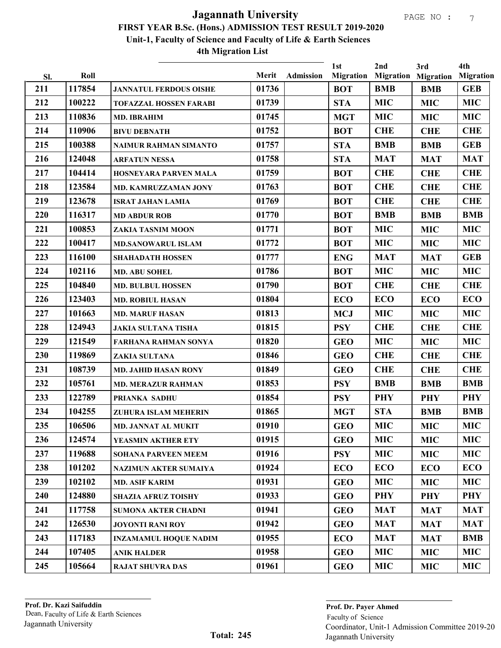|     |        |                               |       |           | 1st              | 2nd        | 3rd                        | 4th              |
|-----|--------|-------------------------------|-------|-----------|------------------|------------|----------------------------|------------------|
| SI. | Roll   |                               | Merit | Admission | <b>Migration</b> |            | <b>Migration Migration</b> | <b>Migration</b> |
| 211 | 117854 | <b>JANNATUL FERDOUS OISHE</b> | 01736 |           | <b>BOT</b>       | <b>BMB</b> | <b>BMB</b>                 | <b>GEB</b>       |
| 212 | 100222 | <b>TOFAZZAL HOSSEN FARABI</b> | 01739 |           | <b>STA</b>       | <b>MIC</b> | <b>MIC</b>                 | <b>MIC</b>       |
| 213 | 110836 | <b>MD. IBRAHIM</b>            | 01745 |           | <b>MGT</b>       | <b>MIC</b> | <b>MIC</b>                 | <b>MIC</b>       |
| 214 | 110906 | <b>BIVU DEBNATH</b>           | 01752 |           | <b>BOT</b>       | <b>CHE</b> | <b>CHE</b>                 | <b>CHE</b>       |
| 215 | 100388 | NAIMUR RAHMAN SIMANTO         | 01757 |           | <b>STA</b>       | <b>BMB</b> | <b>BMB</b>                 | <b>GEB</b>       |
| 216 | 124048 | <b>ARFATUN NESSA</b>          | 01758 |           | <b>STA</b>       | <b>MAT</b> | <b>MAT</b>                 | <b>MAT</b>       |
| 217 | 104414 | HOSNEYARA PARVEN MALA         | 01759 |           | <b>BOT</b>       | <b>CHE</b> | <b>CHE</b>                 | <b>CHE</b>       |
| 218 | 123584 | MD. KAMRUZZAMAN JONY          | 01763 |           | <b>BOT</b>       | <b>CHE</b> | <b>CHE</b>                 | <b>CHE</b>       |
| 219 | 123678 | <b>ISRAT JAHAN LAMIA</b>      | 01769 |           | <b>BOT</b>       | <b>CHE</b> | <b>CHE</b>                 | <b>CHE</b>       |
| 220 | 116317 | <b>MD ABDUR ROB</b>           | 01770 |           | <b>BOT</b>       | <b>BMB</b> | <b>BMB</b>                 | <b>BMB</b>       |
| 221 | 100853 | ZAKIA TASNIM MOON             | 01771 |           | <b>BOT</b>       | <b>MIC</b> | <b>MIC</b>                 | <b>MIC</b>       |
| 222 | 100417 | <b>MD.SANOWARUL ISLAM</b>     | 01772 |           | <b>BOT</b>       | <b>MIC</b> | <b>MIC</b>                 | <b>MIC</b>       |
| 223 | 116100 | <b>SHAHADATH HOSSEN</b>       | 01777 |           | <b>ENG</b>       | <b>MAT</b> | <b>MAT</b>                 | <b>GEB</b>       |
| 224 | 102116 | MD. ABU SOHEL                 | 01786 |           | <b>BOT</b>       | <b>MIC</b> | <b>MIC</b>                 | <b>MIC</b>       |
| 225 | 104840 | <b>MD. BULBUL HOSSEN</b>      | 01790 |           | <b>BOT</b>       | <b>CHE</b> | <b>CHE</b>                 | <b>CHE</b>       |
| 226 | 123403 | <b>MD. ROBIUL HASAN</b>       | 01804 |           | <b>ECO</b>       | <b>ECO</b> | <b>ECO</b>                 | <b>ECO</b>       |
| 227 | 101663 | <b>MD. MARUF HASAN</b>        | 01813 |           | <b>MCJ</b>       | <b>MIC</b> | <b>MIC</b>                 | <b>MIC</b>       |
| 228 | 124943 | <b>JAKIA SULTANA TISHA</b>    | 01815 |           | <b>PSY</b>       | <b>CHE</b> | <b>CHE</b>                 | <b>CHE</b>       |
| 229 | 121549 | FARHANA RAHMAN SONYA          | 01820 |           | <b>GEO</b>       | <b>MIC</b> | <b>MIC</b>                 | <b>MIC</b>       |
| 230 | 119869 | ZAKIA SULTANA                 | 01846 |           | <b>GEO</b>       | <b>CHE</b> | <b>CHE</b>                 | <b>CHE</b>       |
| 231 | 108739 | <b>MD. JAHID HASAN RONY</b>   | 01849 |           | <b>GEO</b>       | <b>CHE</b> | <b>CHE</b>                 | <b>CHE</b>       |
| 232 | 105761 | <b>MD. MERAZUR RAHMAN</b>     | 01853 |           | <b>PSY</b>       | <b>BMB</b> | <b>BMB</b>                 | <b>BMB</b>       |
| 233 | 122789 | PRIANKA SADHU                 | 01854 |           | <b>PSY</b>       | <b>PHY</b> | <b>PHY</b>                 | PHY              |
| 234 | 104255 | ZUHURA ISLAM MEHERIN          | 01865 |           | <b>MGT</b>       | <b>STA</b> | <b>BMB</b>                 | <b>BMB</b>       |
| 235 | 106506 | MD. JANNAT AL MUKIT           | 01910 |           | <b>GEO</b>       | <b>MIC</b> | <b>MIC</b>                 | <b>MIC</b>       |
| 236 | 124574 | YEASMIN AKTHER ETY            | 01915 |           | <b>GEO</b>       | <b>MIC</b> | <b>MIC</b>                 | <b>MIC</b>       |
| 237 | 119688 | <b>SOHANA PARVEEN MEEM</b>    | 01916 |           | <b>PSY</b>       | <b>MIC</b> | <b>MIC</b>                 | <b>MIC</b>       |
| 238 | 101202 | <b>NAZIMUN AKTER SUMAIYA</b>  | 01924 |           | <b>ECO</b>       | ECO        | <b>ECO</b>                 | ECO              |
| 239 | 102102 | <b>MD. ASIF KARIM</b>         | 01931 |           | <b>GEO</b>       | <b>MIC</b> | <b>MIC</b>                 | <b>MIC</b>       |
| 240 | 124880 | <b>SHAZIA AFRUZ TOISHY</b>    | 01933 |           | <b>GEO</b>       | PHY        | <b>PHY</b>                 | <b>PHY</b>       |
| 241 | 117758 | <b>SUMONA AKTER CHADNI</b>    | 01941 |           | <b>GEO</b>       | <b>MAT</b> | <b>MAT</b>                 | <b>MAT</b>       |
| 242 | 126530 | <b>JOYONTI RANI ROY</b>       | 01942 |           | <b>GEO</b>       | <b>MAT</b> | <b>MAT</b>                 | <b>MAT</b>       |
| 243 | 117183 | <b>INZAMAMUL HOQUE NADIM</b>  | 01955 |           | <b>ECO</b>       | <b>MAT</b> | <b>MAT</b>                 | <b>BMB</b>       |
| 244 | 107405 | <b>ANIK HALDER</b>            | 01958 |           | <b>GEO</b>       | <b>MIC</b> | <b>MIC</b>                 | <b>MIC</b>       |
| 245 | 105664 | <b>RAJAT SHUVRA DAS</b>       | 01961 |           | <b>GEO</b>       | <b>MIC</b> | <b>MIC</b>                 | MIC              |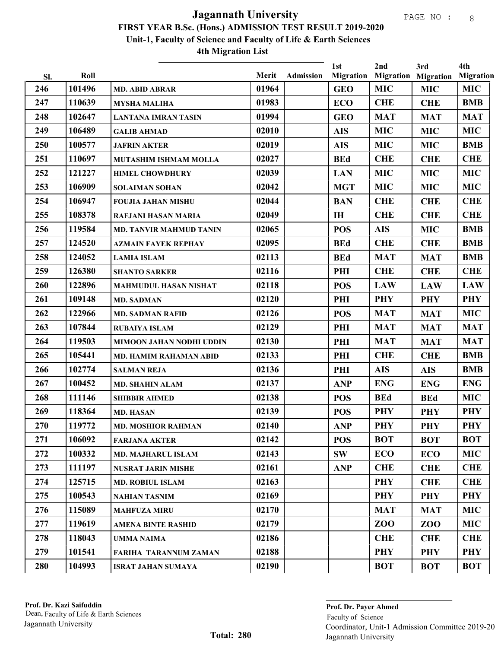| SI. | Roll   |                                | Merit | <b>Admission</b> | 1st<br><b>Migration</b> | 2nd        | 3rd<br><b>Migration Migration</b> | 4th<br><b>Migration</b> |
|-----|--------|--------------------------------|-------|------------------|-------------------------|------------|-----------------------------------|-------------------------|
| 246 | 101496 | <b>MD. ABID ABRAR</b>          | 01964 |                  | <b>GEO</b>              | <b>MIC</b> | <b>MIC</b>                        | <b>MIC</b>              |
| 247 | 110639 | <b>MYSHA MALIHA</b>            | 01983 |                  | <b>ECO</b>              | <b>CHE</b> | <b>CHE</b>                        | <b>BMB</b>              |
| 248 | 102647 | <b>LANTANA IMRAN TASIN</b>     | 01994 |                  | <b>GEO</b>              | <b>MAT</b> | <b>MAT</b>                        | <b>MAT</b>              |
| 249 | 106489 | <b>GALIB AHMAD</b>             | 02010 |                  | <b>AIS</b>              | <b>MIC</b> | <b>MIC</b>                        | <b>MIC</b>              |
| 250 | 100577 | <b>JAFRIN AKTER</b>            | 02019 |                  | <b>AIS</b>              | <b>MIC</b> | <b>MIC</b>                        | <b>BMB</b>              |
| 251 | 110697 | MUTASHIM ISHMAM MOLLA          | 02027 |                  | <b>BEd</b>              | <b>CHE</b> | <b>CHE</b>                        | <b>CHE</b>              |
| 252 | 121227 | <b>HIMEL CHOWDHURY</b>         | 02039 |                  | <b>LAN</b>              | <b>MIC</b> | <b>MIC</b>                        | <b>MIC</b>              |
| 253 | 106909 | <b>SOLAIMAN SOHAN</b>          | 02042 |                  | <b>MGT</b>              | <b>MIC</b> | <b>MIC</b>                        | <b>MIC</b>              |
| 254 | 106947 | <b>FOUJIA JAHAN MISHU</b>      | 02044 |                  | <b>BAN</b>              | <b>CHE</b> | <b>CHE</b>                        | <b>CHE</b>              |
| 255 | 108378 | <b>RAFJANI HASAN MARIA</b>     | 02049 |                  | IH                      | <b>CHE</b> | <b>CHE</b>                        | <b>CHE</b>              |
| 256 | 119584 | <b>MD. TANVIR MAHMUD TANIN</b> | 02065 |                  | <b>POS</b>              | <b>AIS</b> | <b>MIC</b>                        | <b>BMB</b>              |
| 257 | 124520 | <b>AZMAIN FAYEK REPHAY</b>     | 02095 |                  | <b>BEd</b>              | <b>CHE</b> | <b>CHE</b>                        | <b>BMB</b>              |
| 258 | 124052 | <b>LAMIA ISLAM</b>             | 02113 |                  | <b>BEd</b>              | <b>MAT</b> | <b>MAT</b>                        | <b>BMB</b>              |
| 259 | 126380 | <b>SHANTO SARKER</b>           | 02116 |                  | PHI                     | <b>CHE</b> | <b>CHE</b>                        | <b>CHE</b>              |
| 260 | 122896 | <b>MAHMUDUL HASAN NISHAT</b>   | 02118 |                  | <b>POS</b>              | <b>LAW</b> | <b>LAW</b>                        | <b>LAW</b>              |
| 261 | 109148 | <b>MD. SADMAN</b>              | 02120 |                  | PHI                     | <b>PHY</b> | <b>PHY</b>                        | <b>PHY</b>              |
| 262 | 122966 | <b>MD. SADMAN RAFID</b>        | 02126 |                  | <b>POS</b>              | <b>MAT</b> | <b>MAT</b>                        | <b>MIC</b>              |
| 263 | 107844 | <b>RUBAIYA ISLAM</b>           | 02129 |                  | PHI                     | <b>MAT</b> | <b>MAT</b>                        | <b>MAT</b>              |
| 264 | 119503 | MIMOON JAHAN NODHI UDDIN       | 02130 |                  | PHI                     | <b>MAT</b> | <b>MAT</b>                        | <b>MAT</b>              |
| 265 | 105441 | <b>MD. HAMIM RAHAMAN ABID</b>  | 02133 |                  | PHI                     | <b>CHE</b> | <b>CHE</b>                        | <b>BMB</b>              |
| 266 | 102774 | <b>SALMAN REJA</b>             | 02136 |                  | PHI                     | <b>AIS</b> | <b>AIS</b>                        | <b>BMB</b>              |
| 267 | 100452 | <b>MD. SHAHIN ALAM</b>         | 02137 |                  | <b>ANP</b>              | <b>ENG</b> | <b>ENG</b>                        | <b>ENG</b>              |
| 268 | 111146 | <b>SHIBBIR AHMED</b>           | 02138 |                  | <b>POS</b>              | <b>BEd</b> | <b>BEd</b>                        | <b>MIC</b>              |
| 269 | 118364 | <b>MD. HASAN</b>               | 02139 |                  | <b>POS</b>              | <b>PHY</b> | <b>PHY</b>                        | <b>PHY</b>              |
| 270 | 119772 | <b>MD. MOSHIOR RAHMAN</b>      | 02140 |                  | <b>ANP</b>              | <b>PHY</b> | <b>PHY</b>                        | <b>PHY</b>              |
| 271 | 106092 | <b>FARJANA AKTER</b>           | 02142 |                  | <b>POS</b>              | <b>BOT</b> | <b>BOT</b>                        | <b>BOT</b>              |
| 272 | 100332 | <b>MD. MAJHARUL ISLAM</b>      | 02143 |                  | <b>SW</b>               | <b>ECO</b> | <b>ECO</b>                        | <b>MIC</b>              |
| 273 | 111197 | <b>NUSRAT JARIN MISHE</b>      | 02161 |                  | <b>ANP</b>              | <b>CHE</b> | <b>CHE</b>                        | <b>CHE</b>              |
| 274 | 125715 | <b>MD. ROBIUL ISLAM</b>        | 02163 |                  |                         | <b>PHY</b> | <b>CHE</b>                        | <b>CHE</b>              |
| 275 | 100543 | <b>NAHIAN TASNIM</b>           | 02169 |                  |                         | <b>PHY</b> | <b>PHY</b>                        | <b>PHY</b>              |
| 276 | 115089 | <b>MAHFUZA MIRU</b>            | 02170 |                  |                         | <b>MAT</b> | <b>MAT</b>                        | <b>MIC</b>              |
| 277 | 119619 | <b>AMENA BINTE RASHID</b>      | 02179 |                  |                         | ZOO        | ZOO                               | <b>MIC</b>              |
| 278 | 118043 | UMMA NAIMA                     | 02186 |                  |                         | <b>CHE</b> | <b>CHE</b>                        | <b>CHE</b>              |
| 279 | 101541 | FARIHA TARANNUM ZAMAN          | 02188 |                  |                         | <b>PHY</b> | <b>PHY</b>                        | <b>PHY</b>              |
| 280 | 104993 | <b>ISRAT JAHAN SUMAYA</b>      | 02190 |                  |                         | <b>BOT</b> | <b>BOT</b>                        | <b>BOT</b>              |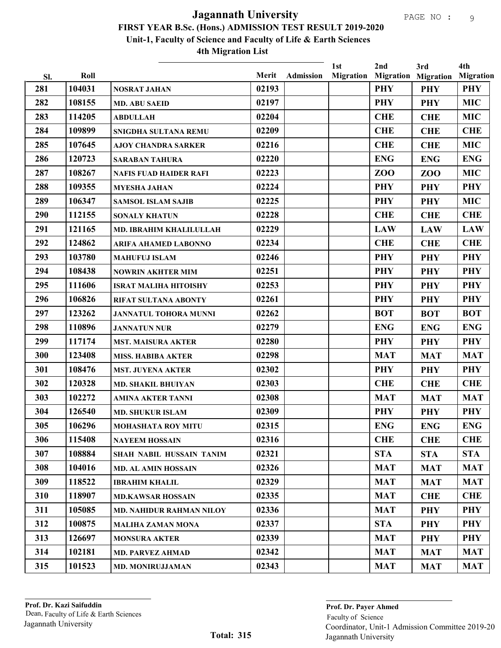|            | Roll   |                                 | Merit | <b>Admission</b> | 1st<br>Migration | 2nd        | 3rd<br><b>Migration Migration</b> | 4th<br><b>Migration</b> |
|------------|--------|---------------------------------|-------|------------------|------------------|------------|-----------------------------------|-------------------------|
| Sl.<br>281 | 104031 | <b>NOSRAT JAHAN</b>             | 02193 |                  |                  | <b>PHY</b> | <b>PHY</b>                        | <b>PHY</b>              |
| 282        | 108155 | <b>MD. ABU SAEID</b>            | 02197 |                  |                  | <b>PHY</b> | <b>PHY</b>                        | <b>MIC</b>              |
| 283        | 114205 | <b>ABDULLAH</b>                 | 02204 |                  |                  | <b>CHE</b> | <b>CHE</b>                        | <b>MIC</b>              |
| 284        | 109899 | SNIGDHA SULTANA REMU            | 02209 |                  |                  | <b>CHE</b> | <b>CHE</b>                        | <b>CHE</b>              |
| 285        | 107645 | <b>AJOY CHANDRA SARKER</b>      | 02216 |                  |                  | <b>CHE</b> | <b>CHE</b>                        | <b>MIC</b>              |
| 286        | 120723 | <b>SARABAN TAHURA</b>           | 02220 |                  |                  | <b>ENG</b> | <b>ENG</b>                        | <b>ENG</b>              |
| 287        | 108267 | <b>NAFIS FUAD HAIDER RAFI</b>   | 02223 |                  |                  | <b>ZOO</b> | ZO <sub>O</sub>                   | <b>MIC</b>              |
| 288        | 109355 | <b>MYESHA JAHAN</b>             | 02224 |                  |                  | <b>PHY</b> | <b>PHY</b>                        | <b>PHY</b>              |
| 289        | 106347 | <b>SAMSOL ISLAM SAJIB</b>       | 02225 |                  |                  | <b>PHY</b> | <b>PHY</b>                        | <b>MIC</b>              |
| 290        | 112155 | <b>SONALY KHATUN</b>            | 02228 |                  |                  | <b>CHE</b> | <b>CHE</b>                        | <b>CHE</b>              |
| 291        | 121165 | <b>MD. IBRAHIM KHALILULLAH</b>  | 02229 |                  |                  | <b>LAW</b> | <b>LAW</b>                        | <b>LAW</b>              |
| 292        | 124862 | <b>ARIFA AHAMED LABONNO</b>     | 02234 |                  |                  | <b>CHE</b> | <b>CHE</b>                        | <b>CHE</b>              |
| 293        | 103780 | <b>MAHUFUJ ISLAM</b>            | 02246 |                  |                  | <b>PHY</b> | <b>PHY</b>                        | <b>PHY</b>              |
| 294        | 108438 | <b>NOWRIN AKHTER MIM</b>        | 02251 |                  |                  | <b>PHY</b> | <b>PHY</b>                        | <b>PHY</b>              |
| 295        | 111606 | <b>ISRAT MALIHA HITOISHY</b>    | 02253 |                  |                  | <b>PHY</b> | <b>PHY</b>                        | <b>PHY</b>              |
| 296        | 106826 | <b>RIFAT SULTANA ABONTY</b>     | 02261 |                  |                  | <b>PHY</b> | <b>PHY</b>                        | <b>PHY</b>              |
| 297        | 123262 | <b>JANNATUL TOHORA MUNNI</b>    | 02262 |                  |                  | <b>BOT</b> | <b>BOT</b>                        | <b>BOT</b>              |
| 298        | 110896 | <b>JANNATUN NUR</b>             | 02279 |                  |                  | <b>ENG</b> | <b>ENG</b>                        | <b>ENG</b>              |
| 299        | 117174 | <b>MST. MAISURA AKTER</b>       | 02280 |                  |                  | <b>PHY</b> | <b>PHY</b>                        | <b>PHY</b>              |
| 300        | 123408 | <b>MISS. HABIBA AKTER</b>       | 02298 |                  |                  | <b>MAT</b> | <b>MAT</b>                        | <b>MAT</b>              |
| 301        | 108476 | <b>MST. JUYENA AKTER</b>        | 02302 |                  |                  | <b>PHY</b> | <b>PHY</b>                        | <b>PHY</b>              |
| 302        | 120328 | <b>MD. SHAKIL BHUIYAN</b>       | 02303 |                  |                  | <b>CHE</b> | <b>CHE</b>                        | <b>CHE</b>              |
| 303        | 102272 | <b>AMINA AKTER TANNI</b>        | 02308 |                  |                  | <b>MAT</b> | <b>MAT</b>                        | <b>MAT</b>              |
| 304        | 126540 | <b>MD. SHUKUR ISLAM</b>         | 02309 |                  |                  | <b>PHY</b> | <b>PHY</b>                        | <b>PHY</b>              |
| 305        | 106296 | <b>MOHASHATA ROY MITU</b>       | 02315 |                  |                  | <b>ENG</b> | <b>ENG</b>                        | <b>ENG</b>              |
| 306        | 115408 | <b>NAYEEM HOSSAIN</b>           | 02316 |                  |                  | <b>CHE</b> | <b>CHE</b>                        | <b>CHE</b>              |
| 307        | 108884 | SHAH NABIL HUSSAIN TANIM        | 02321 |                  |                  | <b>STA</b> | <b>STA</b>                        | <b>STA</b>              |
| 308        | 104016 | <b>MD. AL AMIN HOSSAIN</b>      | 02326 |                  |                  | <b>MAT</b> | <b>MAT</b>                        | <b>MAT</b>              |
| 309        | 118522 | <b>IBRAHIM KHALIL</b>           | 02329 |                  |                  | <b>MAT</b> | <b>MAT</b>                        | <b>MAT</b>              |
| 310        | 118907 | <b>MD.KAWSAR HOSSAIN</b>        | 02335 |                  |                  | <b>MAT</b> | <b>CHE</b>                        | <b>CHE</b>              |
| 311        | 105085 | <b>MD. NAHIDUR RAHMAN NILOY</b> | 02336 |                  |                  | <b>MAT</b> | <b>PHY</b>                        | <b>PHY</b>              |
| 312        | 100875 | <b>MALIHA ZAMAN MONA</b>        | 02337 |                  |                  | <b>STA</b> | <b>PHY</b>                        | <b>PHY</b>              |
| 313        | 126697 | <b>MONSURA AKTER</b>            | 02339 |                  |                  | <b>MAT</b> | <b>PHY</b>                        | <b>PHY</b>              |
| 314        | 102181 | <b>MD. PARVEZ AHMAD</b>         | 02342 |                  |                  | <b>MAT</b> | <b>MAT</b>                        | <b>MAT</b>              |
| 315        | 101523 | <b>MD. MONIRUJJAMAN</b>         | 02343 |                  |                  | <b>MAT</b> | <b>MAT</b>                        | <b>MAT</b>              |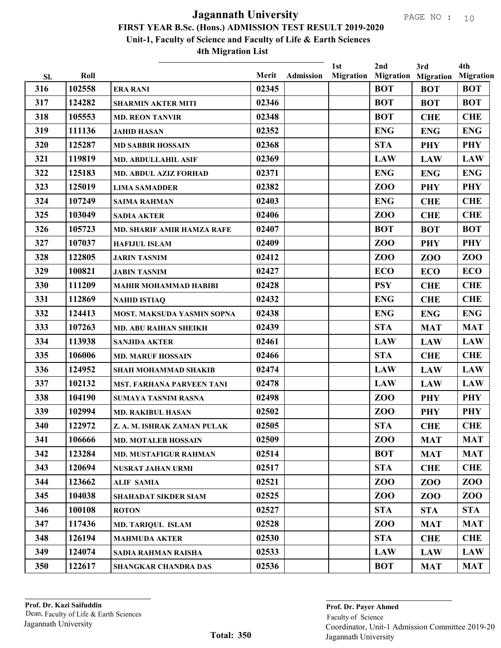| Sl. | Roll   |                                   | Merit | <b>Admission</b> | 1st | 2nd<br><b>Migration Migration Migration</b> | 3rd        | 4th<br><b>Migration</b> |
|-----|--------|-----------------------------------|-------|------------------|-----|---------------------------------------------|------------|-------------------------|
| 316 | 102558 | <b>ERA RANI</b>                   | 02345 |                  |     | <b>BOT</b>                                  | <b>BOT</b> | <b>BOT</b>              |
| 317 | 124282 | <b>SHARMIN AKTER MITI</b>         | 02346 |                  |     | <b>BOT</b>                                  | <b>BOT</b> | <b>BOT</b>              |
| 318 | 105553 | <b>MD. REON TANVIR</b>            | 02348 |                  |     | <b>BOT</b>                                  | <b>CHE</b> | <b>CHE</b>              |
| 319 | 111136 | <b>JAHID HASAN</b>                | 02352 |                  |     | <b>ENG</b>                                  | <b>ENG</b> | <b>ENG</b>              |
| 320 | 125287 | <b>MD SABBIR HOSSAIN</b>          | 02368 |                  |     | <b>STA</b>                                  | <b>PHY</b> | <b>PHY</b>              |
| 321 | 119819 | <b>MD. ABDULLAHIL ASIF</b>        | 02369 |                  |     | <b>LAW</b>                                  | <b>LAW</b> | <b>LAW</b>              |
| 322 | 125183 | <b>MD. ABDUL AZIZ FORHAD</b>      | 02371 |                  |     | <b>ENG</b>                                  | <b>ENG</b> | <b>ENG</b>              |
| 323 | 125019 | <b>LIMA SAMADDER</b>              | 02382 |                  |     | ZO <sub>O</sub>                             | <b>PHY</b> | <b>PHY</b>              |
| 324 | 107249 | <b>SAIMA RAHMAN</b>               | 02403 |                  |     | <b>ENG</b>                                  | <b>CHE</b> | <b>CHE</b>              |
| 325 | 103049 | <b>SADIA AKTER</b>                | 02406 |                  |     | ZO <sub>O</sub>                             | <b>CHE</b> | <b>CHE</b>              |
| 326 | 105723 | <b>MD. SHARIF AMIR HAMZA RAFE</b> | 02407 |                  |     | <b>BOT</b>                                  | <b>BOT</b> | <b>BOT</b>              |
| 327 | 107037 | <b>HAFIJUL ISLAM</b>              | 02409 |                  |     | ZO <sub>O</sub>                             | <b>PHY</b> | <b>PHY</b>              |
| 328 | 122805 | <b>JARIN TASNIM</b>               | 02412 |                  |     | ZO <sub>O</sub>                             | ZOO        | ZOO                     |
| 329 | 100821 | <b>JABIN TASNIM</b>               | 02427 |                  |     | <b>ECO</b>                                  | <b>ECO</b> | <b>ECO</b>              |
| 330 | 111209 | <b>MAHIR MOHAMMAD HABIBI</b>      | 02428 |                  |     | <b>PSY</b>                                  | <b>CHE</b> | <b>CHE</b>              |
| 331 | 112869 | <b>NAHID ISTIAQ</b>               | 02432 |                  |     | <b>ENG</b>                                  | <b>CHE</b> | <b>CHE</b>              |
| 332 | 124413 | MOST. MAKSUDA YASMIN SOPNA        | 02438 |                  |     | <b>ENG</b>                                  | <b>ENG</b> | <b>ENG</b>              |
| 333 | 107263 | <b>MD. ABU RAIHAN SHEIKH</b>      | 02439 |                  |     | <b>STA</b>                                  | <b>MAT</b> | <b>MAT</b>              |
| 334 | 113938 | <b>SANJIDA AKTER</b>              | 02461 |                  |     | <b>LAW</b>                                  | <b>LAW</b> | <b>LAW</b>              |
| 335 | 106006 | <b>MD. MARUF HOSSAIN</b>          | 02466 |                  |     | <b>STA</b>                                  | <b>CHE</b> | <b>CHE</b>              |
| 336 | 124952 | <b>SHAH MOHAMMAD SHAKIB</b>       | 02474 |                  |     | <b>LAW</b>                                  | <b>LAW</b> | <b>LAW</b>              |
| 337 | 102132 | MST. FARHANA PARVEEN TANI         | 02478 |                  |     | <b>LAW</b>                                  | <b>LAW</b> | <b>LAW</b>              |
| 338 | 104190 | SUMAYA TASNIM RASNA               | 02498 |                  |     | ZO <sub>O</sub>                             | <b>PHY</b> | <b>PHY</b>              |
| 339 | 102994 | <b>MD. RAKIBUL HASAN</b>          | 02502 |                  |     | ZO <sub>O</sub>                             | <b>PHY</b> | <b>PHY</b>              |
| 340 | 122972 | Z. A. M. ISHRAK ZAMAN PULAK       | 02505 |                  |     | <b>STA</b>                                  | <b>CHE</b> | <b>CHE</b>              |
| 341 | 106666 | <b>MD. MOTALEB HOSSAIN</b>        | 02509 |                  |     | ZOO                                         | <b>MAT</b> | <b>MAT</b>              |
| 342 | 123284 | <b>MD. MUSTAFIGUR RAHMAN</b>      | 02514 |                  |     | <b>BOT</b>                                  | <b>MAT</b> | <b>MAT</b>              |
| 343 | 120694 | NUSRAT JAHAN URMI                 | 02517 |                  |     | <b>STA</b>                                  | <b>CHE</b> | <b>CHE</b>              |
| 344 | 123662 | <b>ALIF SAMIA</b>                 | 02521 |                  |     | ZO <sub>O</sub>                             | ZOO        | ZOO                     |
| 345 | 104038 | SHAHADAT SIKDER SIAM              | 02525 |                  |     | ZO <sub>O</sub>                             | ZOO        | ZOO                     |
| 346 | 100108 | <b>ROTON</b>                      | 02527 |                  |     | <b>STA</b>                                  | <b>STA</b> | <b>STA</b>              |
| 347 | 117436 | <b>MD. TARIQUL ISLAM</b>          | 02528 |                  |     | ZO <sub>O</sub>                             | <b>MAT</b> | <b>MAT</b>              |
| 348 | 126194 | <b>MAHMUDA AKTER</b>              | 02530 |                  |     | <b>STA</b>                                  | <b>CHE</b> | <b>CHE</b>              |
| 349 | 124074 | SADIA RAHMAN RAISHA               | 02533 |                  |     | <b>LAW</b>                                  | <b>LAW</b> | <b>LAW</b>              |
| 350 | 122617 | <b>SHANGKAR CHANDRA DAS</b>       | 02536 |                  |     | <b>BOT</b>                                  | <b>MAT</b> | <b>MAT</b>              |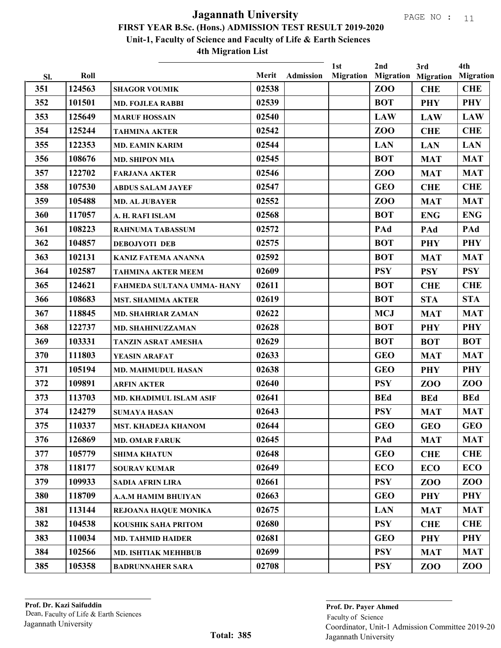| SI. | Roll   |                            | Merit | Admission | 1st<br><b>Migration</b> | 2nd        | 3rd<br><b>Migration Migration</b> | 4th<br><b>Migration</b> |
|-----|--------|----------------------------|-------|-----------|-------------------------|------------|-----------------------------------|-------------------------|
| 351 | 124563 | <b>SHAGOR VOUMIK</b>       | 02538 |           |                         | ZOO        | <b>CHE</b>                        | <b>CHE</b>              |
| 352 | 101501 | <b>MD. FOJLEA RABBI</b>    | 02539 |           |                         | <b>BOT</b> | <b>PHY</b>                        | <b>PHY</b>              |
| 353 | 125649 | <b>MARUF HOSSAIN</b>       | 02540 |           |                         | <b>LAW</b> | <b>LAW</b>                        | <b>LAW</b>              |
| 354 | 125244 | <b>TAHMINA AKTER</b>       | 02542 |           |                         | ZOO        | <b>CHE</b>                        | <b>CHE</b>              |
| 355 | 122353 | <b>MD. EAMIN KARIM</b>     | 02544 |           |                         | <b>LAN</b> | <b>LAN</b>                        | <b>LAN</b>              |
| 356 | 108676 | <b>MD. SHIPON MIA</b>      | 02545 |           |                         | <b>BOT</b> | <b>MAT</b>                        | <b>MAT</b>              |
| 357 | 122702 | <b>FARJANA AKTER</b>       | 02546 |           |                         | <b>ZOO</b> | <b>MAT</b>                        | <b>MAT</b>              |
| 358 | 107530 | <b>ABDUS SALAM JAYEF</b>   | 02547 |           |                         | <b>GEO</b> | <b>CHE</b>                        | <b>CHE</b>              |
| 359 | 105488 | <b>MD. AL JUBAYER</b>      | 02552 |           |                         | <b>ZOO</b> | <b>MAT</b>                        | <b>MAT</b>              |
| 360 | 117057 | A. H. RAFI ISLAM           | 02568 |           |                         | <b>BOT</b> | <b>ENG</b>                        | <b>ENG</b>              |
| 361 | 108223 | <b>RAHNUMA TABASSUM</b>    | 02572 |           |                         | PAd        | PAd                               | PAd                     |
| 362 | 104857 | <b>DEBOJYOTI DEB</b>       | 02575 |           |                         | <b>BOT</b> | <b>PHY</b>                        | <b>PHY</b>              |
| 363 | 102131 | <b>KANIZ FATEMA ANANNA</b> | 02592 |           |                         | <b>BOT</b> | <b>MAT</b>                        | <b>MAT</b>              |
| 364 | 102587 | <b>TAHMINA AKTER MEEM</b>  | 02609 |           |                         | <b>PSY</b> | <b>PSY</b>                        | <b>PSY</b>              |
| 365 | 124621 | FAHMEDA SULTANA UMMA- HANY | 02611 |           |                         | <b>BOT</b> | <b>CHE</b>                        | <b>CHE</b>              |
| 366 | 108683 | <b>MST. SHAMIMA AKTER</b>  | 02619 |           |                         | <b>BOT</b> | <b>STA</b>                        | <b>STA</b>              |
| 367 | 118845 | <b>MD. SHAHRIAR ZAMAN</b>  | 02622 |           |                         | <b>MCJ</b> | <b>MAT</b>                        | <b>MAT</b>              |
| 368 | 122737 | <b>MD. SHAHINUZZAMAN</b>   | 02628 |           |                         | <b>BOT</b> | <b>PHY</b>                        | <b>PHY</b>              |
| 369 | 103331 | TANZIN ASRAT AMESHA        | 02629 |           |                         | <b>BOT</b> | <b>BOT</b>                        | <b>BOT</b>              |
| 370 | 111803 | YEASIN ARAFAT              | 02633 |           |                         | <b>GEO</b> | <b>MAT</b>                        | <b>MAT</b>              |
| 371 | 105194 | <b>MD. MAHMUDUL HASAN</b>  | 02638 |           |                         | <b>GEO</b> | <b>PHY</b>                        | <b>PHY</b>              |
| 372 | 109891 | <b>ARFIN AKTER</b>         | 02640 |           |                         | <b>PSY</b> | <b>ZOO</b>                        | <b>ZOO</b>              |
| 373 | 113703 | MD. KHADIMUL ISLAM ASIF    | 02641 |           |                         | <b>BEd</b> | <b>BEd</b>                        | <b>BEd</b>              |
| 374 | 124279 | <b>SUMAYA HASAN</b>        | 02643 |           |                         | <b>PSY</b> | <b>MAT</b>                        | <b>MAT</b>              |
| 375 | 110337 | <b>MST. KHADEJA KHANOM</b> | 02644 |           |                         | <b>GEO</b> | <b>GEO</b>                        | <b>GEO</b>              |
| 376 | 126869 | <b>MD. OMAR FARUK</b>      | 02645 |           |                         | PAd        | <b>MAT</b>                        | <b>MAT</b>              |
| 377 | 105779 | <b>SHIMA KHATUN</b>        | 02648 |           |                         | <b>GEO</b> | <b>CHE</b>                        | <b>CHE</b>              |
| 378 | 118177 | <b>SOURAV KUMAR</b>        | 02649 |           |                         | <b>ECO</b> | <b>ECO</b>                        | <b>ECO</b>              |
| 379 | 109933 | <b>SADIA AFRIN LIRA</b>    | 02661 |           |                         | <b>PSY</b> | ZOO                               | ZOO                     |
| 380 | 118709 | <b>A.A.M HAMIM BHUIYAN</b> | 02663 |           |                         | <b>GEO</b> | <b>PHY</b>                        | <b>PHY</b>              |
| 381 | 113144 | REJOANA HAOUE MONIKA       | 02675 |           |                         | <b>LAN</b> | <b>MAT</b>                        | <b>MAT</b>              |
| 382 | 104538 | <b>KOUSHIK SAHA PRITOM</b> | 02680 |           |                         | <b>PSY</b> | <b>CHE</b>                        | <b>CHE</b>              |
| 383 | 110034 | <b>MD. TAHMID HAIDER</b>   | 02681 |           |                         | <b>GEO</b> | <b>PHY</b>                        | <b>PHY</b>              |
| 384 | 102566 | <b>MD. ISHTIAK MEHHBUB</b> | 02699 |           |                         | <b>PSY</b> | <b>MAT</b>                        | <b>MAT</b>              |
| 385 | 105358 | <b>BADRUNNAHER SARA</b>    | 02708 |           |                         | <b>PSY</b> | ZOO                               | ZOO                     |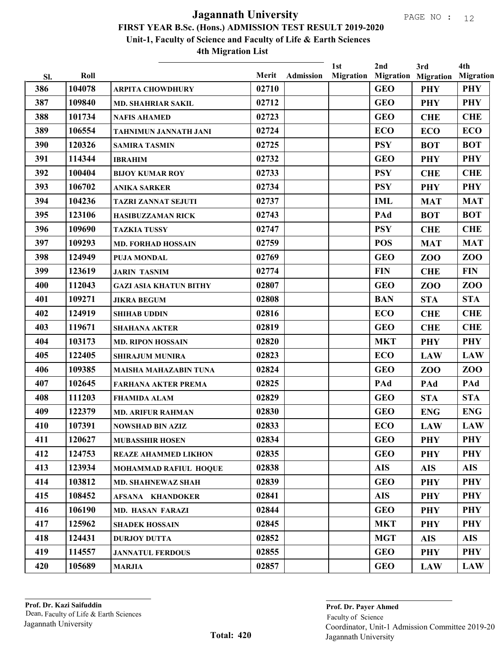|     |        |                               |       |                  | 1st              | 2nd        | 3rd                        | 4th              |
|-----|--------|-------------------------------|-------|------------------|------------------|------------|----------------------------|------------------|
| Sl. | Roll   |                               | Merit | <b>Admission</b> | <b>Migration</b> |            | <b>Migration Migration</b> | <b>Migration</b> |
| 386 | 104078 | <b>ARPITA CHOWDHURY</b>       | 02710 |                  |                  | <b>GEO</b> | <b>PHY</b>                 | <b>PHY</b>       |
| 387 | 109840 | <b>MD. SHAHRIAR SAKIL</b>     | 02712 |                  |                  | <b>GEO</b> | <b>PHY</b>                 | <b>PHY</b>       |
| 388 | 101734 | <b>NAFIS AHAMED</b>           | 02723 |                  |                  | <b>GEO</b> | <b>CHE</b>                 | <b>CHE</b>       |
| 389 | 106554 | TAHNIMUN JANNATH JANI         | 02724 |                  |                  | <b>ECO</b> | <b>ECO</b>                 | <b>ECO</b>       |
| 390 | 120326 | <b>SAMIRA TASMIN</b>          | 02725 |                  |                  | <b>PSY</b> | <b>BOT</b>                 | <b>BOT</b>       |
| 391 | 114344 | <b>IBRAHIM</b>                | 02732 |                  |                  | <b>GEO</b> | <b>PHY</b>                 | <b>PHY</b>       |
| 392 | 100404 | <b>BIJOY KUMAR ROY</b>        | 02733 |                  |                  | <b>PSY</b> | <b>CHE</b>                 | <b>CHE</b>       |
| 393 | 106702 | <b>ANIKA SARKER</b>           | 02734 |                  |                  | <b>PSY</b> | <b>PHY</b>                 | <b>PHY</b>       |
| 394 | 104236 | <b>TAZRI ZANNAT SEJUTI</b>    | 02737 |                  |                  | <b>IML</b> | <b>MAT</b>                 | <b>MAT</b>       |
| 395 | 123106 | <b>HASIBUZZAMAN RICK</b>      | 02743 |                  |                  | PAd        | <b>BOT</b>                 | <b>BOT</b>       |
| 396 | 109690 | <b>TAZKIA TUSSY</b>           | 02747 |                  |                  | <b>PSY</b> | <b>CHE</b>                 | <b>CHE</b>       |
| 397 | 109293 | <b>MD. FORHAD HOSSAIN</b>     | 02759 |                  |                  | <b>POS</b> | <b>MAT</b>                 | <b>MAT</b>       |
| 398 | 124949 | <b>PUJA MONDAL</b>            | 02769 |                  |                  | <b>GEO</b> | ZO <sub>O</sub>            | ZOO              |
| 399 | 123619 | <b>JARIN TASNIM</b>           | 02774 |                  |                  | <b>FIN</b> | <b>CHE</b>                 | <b>FIN</b>       |
| 400 | 112043 | <b>GAZI ASIA KHATUN BITHY</b> | 02807 |                  |                  | <b>GEO</b> | ZO <sub>O</sub>            | ZOO              |
| 401 | 109271 | <b>JIKRA BEGUM</b>            | 02808 |                  |                  | <b>BAN</b> | <b>STA</b>                 | <b>STA</b>       |
| 402 | 124919 | <b>SHIHAB UDDIN</b>           | 02816 |                  |                  | <b>ECO</b> | <b>CHE</b>                 | <b>CHE</b>       |
| 403 | 119671 | <b>SHAHANA AKTER</b>          | 02819 |                  |                  | <b>GEO</b> | <b>CHE</b>                 | <b>CHE</b>       |
| 404 | 103173 | <b>MD. RIPON HOSSAIN</b>      | 02820 |                  |                  | <b>MKT</b> | <b>PHY</b>                 | <b>PHY</b>       |
| 405 | 122405 | <b>SHIRAJUM MUNIRA</b>        | 02823 |                  |                  | <b>ECO</b> | <b>LAW</b>                 | <b>LAW</b>       |
| 406 | 109385 | <b>MAISHA MAHAZABIN TUNA</b>  | 02824 |                  |                  | <b>GEO</b> | ZOO                        | ZOO              |
| 407 | 102645 | <b>FARHANA AKTER PREMA</b>    | 02825 |                  |                  | PAd        | PAd                        | PAd              |
| 408 | 111203 | <b>FHAMIDA ALAM</b>           | 02829 |                  |                  | <b>GEO</b> | <b>STA</b>                 | <b>STA</b>       |
| 409 | 122379 | <b>MD. ARIFUR RAHMAN</b>      | 02830 |                  |                  | <b>GEO</b> | <b>ENG</b>                 | <b>ENG</b>       |
| 410 | 107391 | <b>NOWSHAD BIN AZIZ</b>       | 02833 |                  |                  | <b>ECO</b> | <b>LAW</b>                 | <b>LAW</b>       |
| 411 | 120627 | <b>MUBASSHIR HOSEN</b>        | 02834 |                  |                  | <b>GEO</b> | <b>PHY</b>                 | <b>PHY</b>       |
| 412 | 124753 | <b>REAZE AHAMMED LIKHON</b>   | 02835 |                  |                  | <b>GEO</b> | <b>PHY</b>                 | PHY              |
| 413 | 123934 | MOHAMMAD RAFIUL HOQUE         | 02838 |                  |                  | <b>AIS</b> | <b>AIS</b>                 | <b>AIS</b>       |
| 414 | 103812 | <b>MD. SHAHNEWAZ SHAH</b>     | 02839 |                  |                  | <b>GEO</b> | <b>PHY</b>                 | <b>PHY</b>       |
| 415 | 108452 | AFSANA KHANDOKER              | 02841 |                  |                  | <b>AIS</b> | <b>PHY</b>                 | PHY              |
| 416 | 106190 | <b>MD. HASAN FARAZI</b>       | 02844 |                  |                  | <b>GEO</b> | <b>PHY</b>                 | <b>PHY</b>       |
| 417 | 125962 | <b>SHADEK HOSSAIN</b>         | 02845 |                  |                  | <b>MKT</b> | <b>PHY</b>                 | <b>PHY</b>       |
| 418 | 124431 | <b>DURJOY DUTTA</b>           | 02852 |                  |                  | <b>MGT</b> | <b>AIS</b>                 | <b>AIS</b>       |
| 419 | 114557 | <b>JANNATUL FERDOUS</b>       | 02855 |                  |                  | <b>GEO</b> | <b>PHY</b>                 | <b>PHY</b>       |
| 420 | 105689 | <b>MARJIA</b>                 | 02857 |                  |                  | <b>GEO</b> | <b>LAW</b>                 | <b>LAW</b>       |
|     |        |                               |       |                  |                  |            |                            |                  |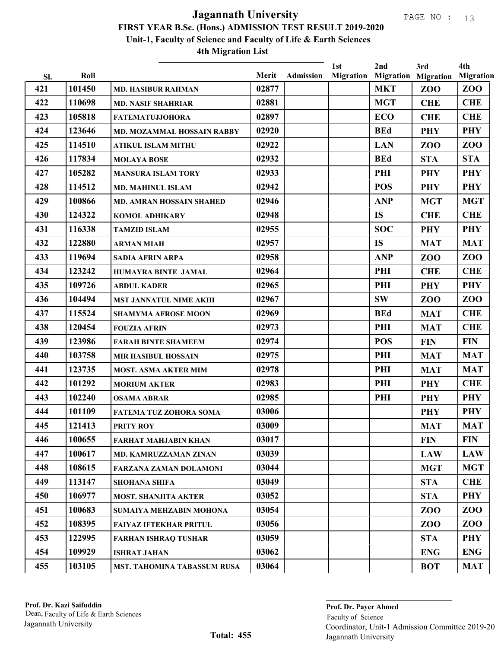|            | Roll   |                                 | Merit |                  | 1st<br><b>Migration</b> | 2nd        | 3rd                                           | 4th<br><b>Migration</b> |
|------------|--------|---------------------------------|-------|------------------|-------------------------|------------|-----------------------------------------------|-------------------------|
| Sl.<br>421 | 101450 | <b>MD. HASIBUR RAHMAN</b>       | 02877 | <b>Admission</b> |                         | <b>MKT</b> | <b>Migration Migration</b><br>ZO <sub>O</sub> | ZOO                     |
| 422        | 110698 | <b>MD. NASIF SHAHRIAR</b>       | 02881 |                  |                         | <b>MGT</b> | <b>CHE</b>                                    | <b>CHE</b>              |
| 423        | 105818 | <b>FATEMATUJJOHORA</b>          | 02897 |                  |                         | <b>ECO</b> | <b>CHE</b>                                    | <b>CHE</b>              |
| 424        | 123646 | MD. MOZAMMAL HOSSAIN RABBY      | 02920 |                  |                         | <b>BEd</b> | <b>PHY</b>                                    | <b>PHY</b>              |
| 425        | 114510 | <b>ATIKUL ISLAM MITHU</b>       | 02922 |                  |                         | <b>LAN</b> | ZOO                                           | <b>ZOO</b>              |
| 426        | 117834 | <b>MOLAYA BOSE</b>              | 02932 |                  |                         | <b>BEd</b> | <b>STA</b>                                    | <b>STA</b>              |
| 427        | 105282 | <b>MANSURA ISLAM TORY</b>       | 02933 |                  |                         | PHI        | <b>PHY</b>                                    | <b>PHY</b>              |
| 428        | 114512 | <b>MD. MAHINUL ISLAM</b>        | 02942 |                  |                         | <b>POS</b> | <b>PHY</b>                                    | <b>PHY</b>              |
| 429        | 100866 | <b>MD. AMRAN HOSSAIN SHAHED</b> | 02946 |                  |                         | <b>ANP</b> | <b>MGT</b>                                    | <b>MGT</b>              |
| 430        | 124322 | <b>KOMOL ADHIKARY</b>           | 02948 |                  |                         | <b>IS</b>  | <b>CHE</b>                                    | <b>CHE</b>              |
| 431        | 116338 | <b>TAMZID ISLAM</b>             | 02955 |                  |                         | <b>SOC</b> | <b>PHY</b>                                    | <b>PHY</b>              |
| 432        | 122880 | <b>ARMAN MIAH</b>               | 02957 |                  |                         | <b>IS</b>  | <b>MAT</b>                                    | <b>MAT</b>              |
| 433        | 119694 | <b>SADIA AFRIN ARPA</b>         | 02958 |                  |                         | <b>ANP</b> | ZOO                                           | <b>ZOO</b>              |
| 434        | 123242 | HUMAYRA BINTE JAMAL             | 02964 |                  |                         | PHI        | <b>CHE</b>                                    | <b>CHE</b>              |
| 435        | 109726 | <b>ABDUL KADER</b>              | 02965 |                  |                         | PHI        | <b>PHY</b>                                    | <b>PHY</b>              |
| 436        | 104494 | <b>MST JANNATUL NIME AKHI</b>   | 02967 |                  |                         | <b>SW</b>  | ZOO                                           | ZOO                     |
| 437        | 115524 | <b>SHAMYMA AFROSE MOON</b>      | 02969 |                  |                         | <b>BEd</b> | <b>MAT</b>                                    | <b>CHE</b>              |
| 438        | 120454 | <b>FOUZIA AFRIN</b>             | 02973 |                  |                         | PHI        | <b>MAT</b>                                    | <b>CHE</b>              |
| 439        | 123986 | <b>FARAH BINTE SHAMEEM</b>      | 02974 |                  |                         | <b>POS</b> | <b>FIN</b>                                    | <b>FIN</b>              |
| 440        | 103758 | <b>MIR HASIBUL HOSSAIN</b>      | 02975 |                  |                         | PHI        | <b>MAT</b>                                    | <b>MAT</b>              |
| 441        | 123735 | <b>MOST. ASMA AKTER MIM</b>     | 02978 |                  |                         | PHI        | <b>MAT</b>                                    | <b>MAT</b>              |
| 442        | 101292 | <b>MORIUM AKTER</b>             | 02983 |                  |                         | PHI        | <b>PHY</b>                                    | <b>CHE</b>              |
| 443        | 102240 | <b>OSAMA ABRAR</b>              | 02985 |                  |                         | PHI        | <b>PHY</b>                                    | <b>PHY</b>              |
| 444        | 101109 | FATEMA TUZ ZOHORA SOMA          | 03006 |                  |                         |            | <b>PHY</b>                                    | <b>PHY</b>              |
| 445        | 121413 | <b>PRITY ROY</b>                | 03009 |                  |                         |            | <b>MAT</b>                                    | <b>MAT</b>              |
| 446        | 100655 | <b>FARHAT MAHJABIN KHAN</b>     | 03017 |                  |                         |            | <b>FIN</b>                                    | <b>FIN</b>              |
| 447        | 100617 | <b>MD. KAMRUZZAMAN ZINAN</b>    | 03039 |                  |                         |            | <b>LAW</b>                                    | <b>LAW</b>              |
| 448        | 108615 | <b>FARZANA ZAMAN DOLAMONI</b>   | 03044 |                  |                         |            | <b>MGT</b>                                    | <b>MGT</b>              |
| 449        | 113147 | <b>SHOHANA SHIFA</b>            | 03049 |                  |                         |            | <b>STA</b>                                    | <b>CHE</b>              |
| 450        | 106977 | <b>MOST. SHANJITA AKTER</b>     | 03052 |                  |                         |            | <b>STA</b>                                    | <b>PHY</b>              |
| 451        | 100683 | SUMAIYA MEHZABIN MOHONA         | 03054 |                  |                         |            | ZOO                                           | ZOO                     |
| 452        | 108395 | <b>FAIYAZ IFTEKHAR PRITUL</b>   | 03056 |                  |                         |            | ZOO                                           | ZOO                     |
| 453        | 122995 | <b>FARHAN ISHRAQ TUSHAR</b>     | 03059 |                  |                         |            | <b>STA</b>                                    | <b>PHY</b>              |
| 454        | 109929 | <b>ISHRAT JAHAN</b>             | 03062 |                  |                         |            | <b>ENG</b>                                    | <b>ENG</b>              |
| 455        | 103105 | MST. TAHOMINA TABASSUM RUSA     | 03064 |                  |                         |            | <b>BOT</b>                                    | <b>MAT</b>              |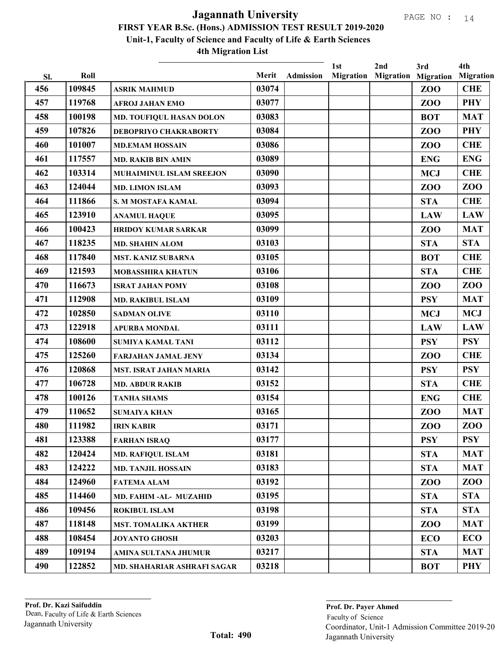|     |        |                                 |       |                  | 1st              | 2nd | 3rd                        | 4th              |
|-----|--------|---------------------------------|-------|------------------|------------------|-----|----------------------------|------------------|
| SI. | Roll   |                                 | Merit | <b>Admission</b> | <b>Migration</b> |     | <b>Migration Migration</b> | <b>Migration</b> |
| 456 | 109845 | <b>ASRIK MAHMUD</b>             | 03074 |                  |                  |     | ZO <sub>O</sub>            | <b>CHE</b>       |
| 457 | 119768 | <b>AFROJ JAHAN EMO</b>          | 03077 |                  |                  |     | ZOO                        | <b>PHY</b>       |
| 458 | 100198 | <b>MD. TOUFIQUL HASAN DOLON</b> | 03083 |                  |                  |     | <b>BOT</b>                 | <b>MAT</b>       |
| 459 | 107826 | DEBOPRIYO CHAKRABORTY           | 03084 |                  |                  |     | ZO <sub>O</sub>            | <b>PHY</b>       |
| 460 | 101007 | <b>MD.EMAM HOSSAIN</b>          | 03086 |                  |                  |     | ZOO                        | <b>CHE</b>       |
| 461 | 117557 | <b>MD. RAKIB BIN AMIN</b>       | 03089 |                  |                  |     | <b>ENG</b>                 | <b>ENG</b>       |
| 462 | 103314 | <b>MUHAIMINUL ISLAM SREEJON</b> | 03090 |                  |                  |     | <b>MCJ</b>                 | <b>CHE</b>       |
| 463 | 124044 | <b>MD. LIMON ISLAM</b>          | 03093 |                  |                  |     | ZOO                        | ZOO              |
| 464 | 111866 | S. M MOSTAFA KAMAL              | 03094 |                  |                  |     | <b>STA</b>                 | <b>CHE</b>       |
| 465 | 123910 | <b>ANAMUL HAQUE</b>             | 03095 |                  |                  |     | <b>LAW</b>                 | <b>LAW</b>       |
| 466 | 100423 | <b>HRIDOY KUMAR SARKAR</b>      | 03099 |                  |                  |     | ZO <sub>O</sub>            | <b>MAT</b>       |
| 467 | 118235 | <b>MD. SHAHIN ALOM</b>          | 03103 |                  |                  |     | <b>STA</b>                 | <b>STA</b>       |
| 468 | 117840 | <b>MST. KANIZ SUBARNA</b>       | 03105 |                  |                  |     | <b>BOT</b>                 | <b>CHE</b>       |
| 469 | 121593 | <b>MOBASSHIRA KHATUN</b>        | 03106 |                  |                  |     | <b>STA</b>                 | <b>CHE</b>       |
| 470 | 116673 | <b>ISRAT JAHAN POMY</b>         | 03108 |                  |                  |     | ZO <sub>O</sub>            | ZOO              |
| 471 | 112908 | <b>MD. RAKIBUL ISLAM</b>        | 03109 |                  |                  |     | <b>PSY</b>                 | <b>MAT</b>       |
| 472 | 102850 | <b>SADMAN OLIVE</b>             | 03110 |                  |                  |     | <b>MCJ</b>                 | <b>MCJ</b>       |
| 473 | 122918 | <b>APURBA MONDAL</b>            | 03111 |                  |                  |     | <b>LAW</b>                 | <b>LAW</b>       |
| 474 | 108600 | <b>SUMIYA KAMAL TANI</b>        | 03112 |                  |                  |     | <b>PSY</b>                 | <b>PSY</b>       |
| 475 | 125260 | <b>FARJAHAN JAMAL JENY</b>      | 03134 |                  |                  |     | ZOO                        | <b>CHE</b>       |
| 476 | 120868 | <b>MST. ISRAT JAHAN MARIA</b>   | 03142 |                  |                  |     | <b>PSY</b>                 | <b>PSY</b>       |
| 477 | 106728 | <b>MD. ABDUR RAKIB</b>          | 03152 |                  |                  |     | <b>STA</b>                 | <b>CHE</b>       |
| 478 | 100126 | <b>TANHA SHAMS</b>              | 03154 |                  |                  |     | <b>ENG</b>                 | <b>CHE</b>       |
| 479 | 110652 | <b>SUMAIYA KHAN</b>             | 03165 |                  |                  |     | ZO <sub>O</sub>            | <b>MAT</b>       |
| 480 | 111982 | <b>IRIN KABIR</b>               | 03171 |                  |                  |     | ZOO                        | ZOO              |
| 481 | 123388 | <b>FARHAN ISRAQ</b>             | 03177 |                  |                  |     | <b>PSY</b>                 | <b>PSY</b>       |
| 482 | 120424 | <b>MD. RAFIQUL ISLAM</b>        | 03181 |                  |                  |     | <b>STA</b>                 | <b>MAT</b>       |
| 483 | 124222 | <b>MD. TANJIL HOSSAIN</b>       | 03183 |                  |                  |     | <b>STA</b>                 | <b>MAT</b>       |
| 484 | 124960 | <b>FATEMA ALAM</b>              | 03192 |                  |                  |     | ZOO                        | ZOO              |
| 485 | 114460 | MD. FAHIM -AL- MUZAHID          | 03195 |                  |                  |     | <b>STA</b>                 | <b>STA</b>       |
| 486 | 109456 | <b>ROKIBUL ISLAM</b>            | 03198 |                  |                  |     | <b>STA</b>                 | <b>STA</b>       |
| 487 | 118148 | <b>MST. TOMALIKA AKTHER</b>     | 03199 |                  |                  |     | ZOO                        | <b>MAT</b>       |
| 488 | 108454 | <b>JOYANTO GHOSH</b>            | 03203 |                  |                  |     | <b>ECO</b>                 | <b>ECO</b>       |
| 489 | 109194 | AMINA SULTANA JHUMUR            | 03217 |                  |                  |     | <b>STA</b>                 | <b>MAT</b>       |
| 490 | 122852 | MD. SHAHARIAR ASHRAFI SAGAR     | 03218 |                  |                  |     | <b>BOT</b>                 | <b>PHY</b>       |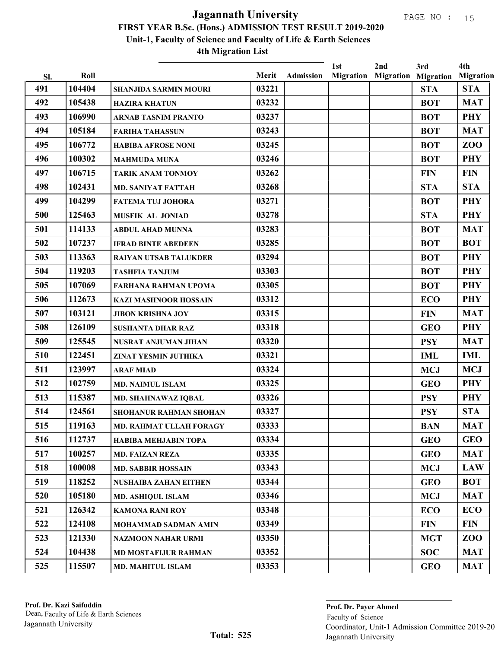|     |        |                                |       |                  | 1st              | 2nd | 3rd                        | 4th              |
|-----|--------|--------------------------------|-------|------------------|------------------|-----|----------------------------|------------------|
| Sl. | Roll   |                                | Merit | <b>Admission</b> | <b>Migration</b> |     | <b>Migration Migration</b> | <b>Migration</b> |
| 491 | 104404 | <b>SHANJIDA SARMIN MOURI</b>   | 03221 |                  |                  |     | <b>STA</b>                 | <b>STA</b>       |
| 492 | 105438 | <b>HAZIRA KHATUN</b>           | 03232 |                  |                  |     | <b>BOT</b>                 | <b>MAT</b>       |
| 493 | 106990 | <b>ARNAB TASNIM PRANTO</b>     | 03237 |                  |                  |     | <b>BOT</b>                 | <b>PHY</b>       |
| 494 | 105184 | <b>FARIHA TAHASSUN</b>         | 03243 |                  |                  |     | <b>BOT</b>                 | <b>MAT</b>       |
| 495 | 106772 | <b>HABIBA AFROSE NONI</b>      | 03245 |                  |                  |     | <b>BOT</b>                 | <b>ZOO</b>       |
| 496 | 100302 | <b>MAHMUDA MUNA</b>            | 03246 |                  |                  |     | <b>BOT</b>                 | <b>PHY</b>       |
| 497 | 106715 | <b>TARIK ANAM TONMOY</b>       | 03262 |                  |                  |     | <b>FIN</b>                 | <b>FIN</b>       |
| 498 | 102431 | <b>MD. SANIYAT FATTAH</b>      | 03268 |                  |                  |     | <b>STA</b>                 | <b>STA</b>       |
| 499 | 104299 | <b>FATEMA TUJ JOHORA</b>       | 03271 |                  |                  |     | <b>BOT</b>                 | <b>PHY</b>       |
| 500 | 125463 | <b>MUSFIK AL JONIAD</b>        | 03278 |                  |                  |     | <b>STA</b>                 | <b>PHY</b>       |
| 501 | 114133 | <b>ABDUL AHAD MUNNA</b>        | 03283 |                  |                  |     | <b>BOT</b>                 | <b>MAT</b>       |
| 502 | 107237 | <b>IFRAD BINTE ABEDEEN</b>     | 03285 |                  |                  |     | <b>BOT</b>                 | <b>BOT</b>       |
| 503 | 113363 | <b>RAIYAN UTSAB TALUKDER</b>   | 03294 |                  |                  |     | <b>BOT</b>                 | <b>PHY</b>       |
| 504 | 119203 | <b>TASHFIA TANJUM</b>          | 03303 |                  |                  |     | <b>BOT</b>                 | <b>PHY</b>       |
| 505 | 107069 | <b>FARHANA RAHMAN UPOMA</b>    | 03305 |                  |                  |     | <b>BOT</b>                 | <b>PHY</b>       |
| 506 | 112673 | <b>KAZI MASHNOOR HOSSAIN</b>   | 03312 |                  |                  |     | <b>ECO</b>                 | <b>PHY</b>       |
| 507 | 103121 | <b>JIBON KRISHNA JOY</b>       | 03315 |                  |                  |     | <b>FIN</b>                 | <b>MAT</b>       |
| 508 | 126109 | <b>SUSHANTA DHAR RAZ</b>       | 03318 |                  |                  |     | <b>GEO</b>                 | <b>PHY</b>       |
| 509 | 125545 | NUSRAT ANJUMAN JIHAN           | 03320 |                  |                  |     | <b>PSY</b>                 | <b>MAT</b>       |
| 510 | 122451 | ZINAT YESMIN JUTHIKA           | 03321 |                  |                  |     | <b>IML</b>                 | <b>IML</b>       |
| 511 | 123997 | <b>ARAF MIAD</b>               | 03324 |                  |                  |     | <b>MCJ</b>                 | <b>MCJ</b>       |
| 512 | 102759 | <b>MD. NAIMUL ISLAM</b>        | 03325 |                  |                  |     | <b>GEO</b>                 | <b>PHY</b>       |
| 513 | 115387 | MD. SHAHNAWAZ IQBAL            | 03326 |                  |                  |     | <b>PSY</b>                 | <b>PHY</b>       |
| 514 | 124561 | <b>SHOHANUR RAHMAN SHOHAN</b>  | 03327 |                  |                  |     | <b>PSY</b>                 | <b>STA</b>       |
| 515 | 119163 | <b>MD. RAHMAT ULLAH FORAGY</b> | 03333 |                  |                  |     | <b>BAN</b>                 | <b>MAT</b>       |
| 516 | 112737 | <b>HABIBA MEHJABIN TOPA</b>    | 03334 |                  |                  |     | <b>GEO</b>                 | <b>GEO</b>       |
| 517 | 100257 | <b>MD. FAIZAN REZA</b>         | 03335 |                  |                  |     | <b>GEO</b>                 | <b>MAT</b>       |
| 518 | 100008 | <b>MD. SABBIR HOSSAIN</b>      | 03343 |                  |                  |     | <b>MCJ</b>                 | <b>LAW</b>       |
| 519 | 118252 | <b>NUSHAIBA ZAHAN EITHEN</b>   | 03344 |                  |                  |     | <b>GEO</b>                 | <b>BOT</b>       |
| 520 | 105180 | <b>MD. ASHIQUL ISLAM</b>       | 03346 |                  |                  |     | <b>MCJ</b>                 | <b>MAT</b>       |
| 521 | 126342 | <b>KAMONA RANI ROY</b>         | 03348 |                  |                  |     | <b>ECO</b>                 | <b>ECO</b>       |
| 522 | 124108 | MOHAMMAD SADMAN AMIN           | 03349 |                  |                  |     | <b>FIN</b>                 | <b>FIN</b>       |
| 523 | 121330 | NAZMOON NAHAR URMI             | 03350 |                  |                  |     | <b>MGT</b>                 | ZOO              |
| 524 | 104438 | <b>MD MOSTAFIJUR RAHMAN</b>    | 03352 |                  |                  |     | <b>SOC</b>                 | <b>MAT</b>       |
| 525 | 115507 |                                | 03353 |                  |                  |     | <b>GEO</b>                 | <b>MAT</b>       |
|     |        | <b>MD. MAHITUL ISLAM</b>       |       |                  |                  |     |                            |                  |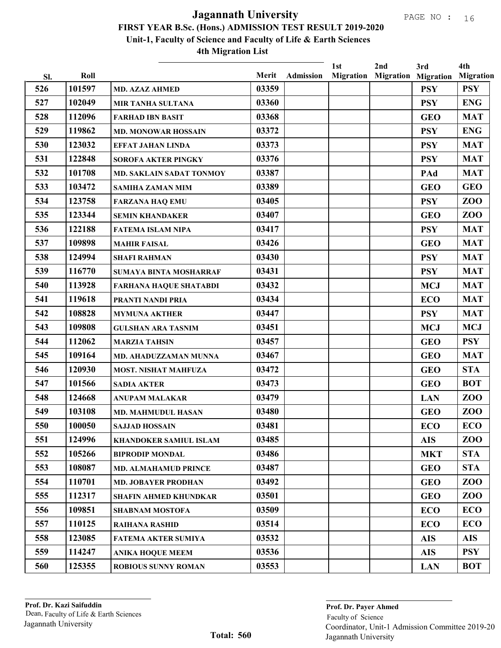|            | Roll   |                                 | Merit |                  | 1st              | 2nd | 3rd                                      | 4th                            |
|------------|--------|---------------------------------|-------|------------------|------------------|-----|------------------------------------------|--------------------------------|
| Sl.<br>526 | 101597 | <b>MD. AZAZ AHMED</b>           | 03359 | <b>Admission</b> | <b>Migration</b> |     | <b>Migration Migration</b><br><b>PSY</b> | <b>Migration</b><br><b>PSY</b> |
| 527        | 102049 | <b>MIR TANHA SULTANA</b>        | 03360 |                  |                  |     | <b>PSY</b>                               | <b>ENG</b>                     |
| 528        | 112096 | <b>FARHAD IBN BASIT</b>         | 03368 |                  |                  |     | <b>GEO</b>                               | <b>MAT</b>                     |
| 529        | 119862 | <b>MD. MONOWAR HOSSAIN</b>      | 03372 |                  |                  |     | <b>PSY</b>                               | <b>ENG</b>                     |
| 530        | 123032 | <b>EFFAT JAHAN LINDA</b>        | 03373 |                  |                  |     | <b>PSY</b>                               | <b>MAT</b>                     |
| 531        | 122848 | <b>SOROFA AKTER PINGKY</b>      | 03376 |                  |                  |     | <b>PSY</b>                               | <b>MAT</b>                     |
| 532        | 101708 | <b>MD. SAKLAIN SADAT TONMOY</b> | 03387 |                  |                  |     | PAd                                      | <b>MAT</b>                     |
| 533        | 103472 |                                 | 03389 |                  |                  |     | <b>GEO</b>                               | <b>GEO</b>                     |
| 534        | 123758 | <b>SAMIHA ZAMAN MIM</b>         | 03405 |                  |                  |     | <b>PSY</b>                               | ZOO                            |
| 535        | 123344 | <b>FARZANA HAQ EMU</b>          | 03407 |                  |                  |     | <b>GEO</b>                               | ZOO                            |
| 536        | 122188 | <b>SEMIN KHANDAKER</b>          | 03417 |                  |                  |     |                                          | <b>MAT</b>                     |
| 537        | 109898 | <b>FATEMA ISLAM NIPA</b>        | 03426 |                  |                  |     | <b>PSY</b>                               | <b>MAT</b>                     |
| 538        | 124994 | <b>MAHIR FAISAL</b>             | 03430 |                  |                  |     | <b>GEO</b>                               | <b>MAT</b>                     |
| 539        | 116770 | <b>SHAFI RAHMAN</b>             | 03431 |                  |                  |     | <b>PSY</b>                               | <b>MAT</b>                     |
|            | 113928 | SUMAYA BINTA MOSHARRAF          |       |                  |                  |     | <b>PSY</b>                               |                                |
| 540        |        | <b>FARHANA HAQUE SHATABDI</b>   | 03432 |                  |                  |     | <b>MCJ</b>                               | <b>MAT</b>                     |
| 541        | 119618 | PRANTI NANDI PRIA               | 03434 |                  |                  |     | <b>ECO</b>                               | <b>MAT</b>                     |
| 542        | 108828 | <b>MYMUNA AKTHER</b>            | 03447 |                  |                  |     | <b>PSY</b>                               | <b>MAT</b>                     |
| 543        | 109808 | <b>GULSHAN ARA TASNIM</b>       | 03451 |                  |                  |     | <b>MCJ</b>                               | <b>MCJ</b>                     |
| 544        | 112062 | <b>MARZIA TAHSIN</b>            | 03457 |                  |                  |     | <b>GEO</b>                               | <b>PSY</b>                     |
| 545        | 109164 | MD. AHADUZZAMAN MUNNA           | 03467 |                  |                  |     | <b>GEO</b>                               | <b>MAT</b>                     |
| 546        | 120930 | <b>MOST. NISHAT MAHFUZA</b>     | 03472 |                  |                  |     | <b>GEO</b>                               | <b>STA</b>                     |
| 547        | 101566 | <b>SADIA AKTER</b>              | 03473 |                  |                  |     | <b>GEO</b>                               | <b>BOT</b>                     |
| 548        | 124668 | <b>ANUPAM MALAKAR</b>           | 03479 |                  |                  |     | <b>LAN</b>                               | ZOO                            |
| 549        | 103108 | <b>MD. MAHMUDUL HASAN</b>       | 03480 |                  |                  |     | <b>GEO</b>                               | ZOO                            |
| 550        | 100050 | <b>SAJJAD HOSSAIN</b>           | 03481 |                  |                  |     | <b>ECO</b>                               | <b>ECO</b>                     |
| 551        | 124996 | KHANDOKER SAMIUL ISLAM          | 03485 |                  |                  |     | <b>AIS</b>                               | ZOO                            |
| 552        | 105266 | <b>BIPRODIP MONDAL</b>          | 03486 |                  |                  |     | <b>MKT</b>                               | <b>STA</b>                     |
| 553        | 108087 | <b>MD. ALMAHAMUD PRINCE</b>     | 03487 |                  |                  |     | <b>GEO</b>                               | <b>STA</b>                     |
| 554        | 110701 | <b>MD. JOBAYER PRODHAN</b>      | 03492 |                  |                  |     | <b>GEO</b>                               | ZOO                            |
| 555        | 112317 | <b>SHAFIN AHMED KHUNDKAR</b>    | 03501 |                  |                  |     | <b>GEO</b>                               | ZOO                            |
| 556        | 109851 | <b>SHABNAM MOSTOFA</b>          | 03509 |                  |                  |     | <b>ECO</b>                               | <b>ECO</b>                     |
| 557        | 110125 | <b>RAIHANA RASHID</b>           | 03514 |                  |                  |     | <b>ECO</b>                               | <b>ECO</b>                     |
| 558        | 123085 | <b>FATEMA AKTER SUMIYA</b>      | 03532 |                  |                  |     | <b>AIS</b>                               | <b>AIS</b>                     |
| 559        | 114247 | <b>ANIKA HOQUE MEEM</b>         | 03536 |                  |                  |     | <b>AIS</b>                               | <b>PSY</b>                     |
| 560        | 125355 | <b>ROBIOUS SUNNY ROMAN</b>      | 03553 |                  |                  |     | <b>LAN</b>                               | <b>BOT</b>                     |